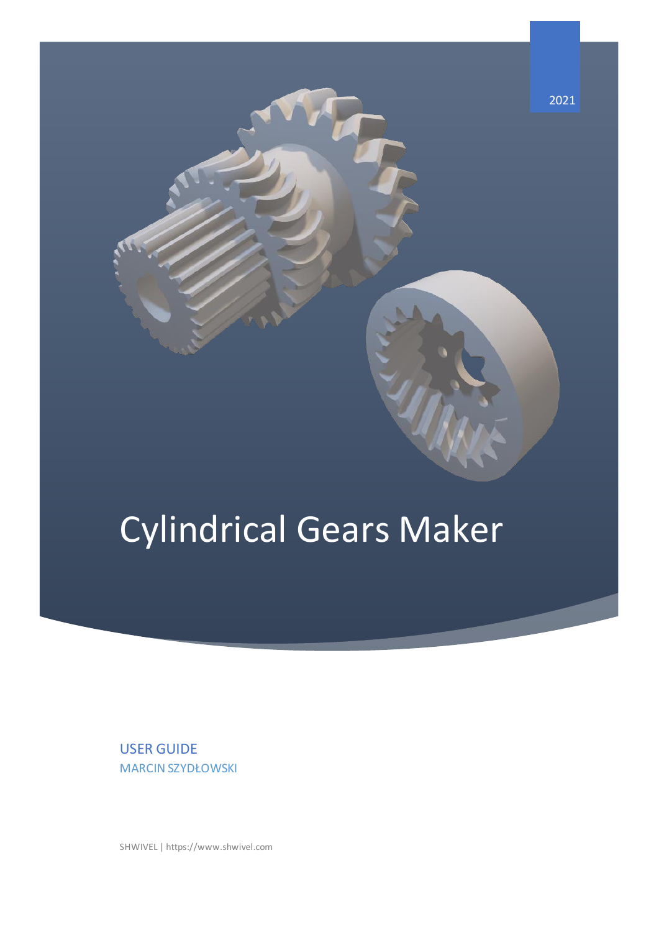

# Cylindrical Gears Maker

USER GUIDE MARCIN SZYDŁOWSKI

SHWIVEL | https://www.shwivel.com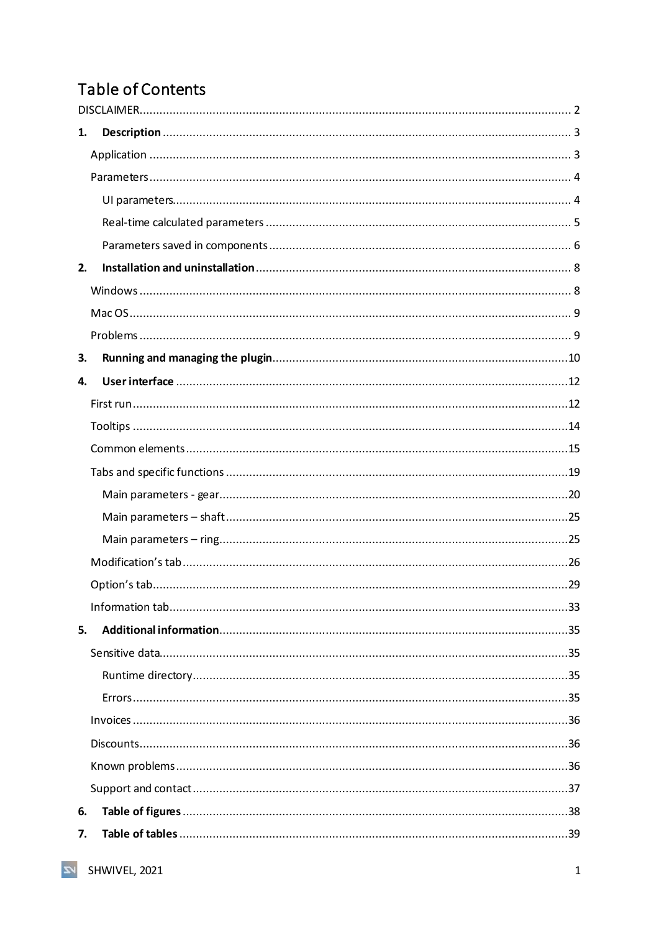# Table of Contents

| 1. |  |
|----|--|
|    |  |
|    |  |
|    |  |
|    |  |
|    |  |
| 2. |  |
|    |  |
|    |  |
|    |  |
| 3. |  |
| 4. |  |
|    |  |
|    |  |
|    |  |
|    |  |
|    |  |
|    |  |
|    |  |
|    |  |
|    |  |
|    |  |
| 5. |  |
|    |  |
|    |  |
|    |  |
|    |  |
|    |  |
|    |  |
|    |  |
| 6. |  |
| 7. |  |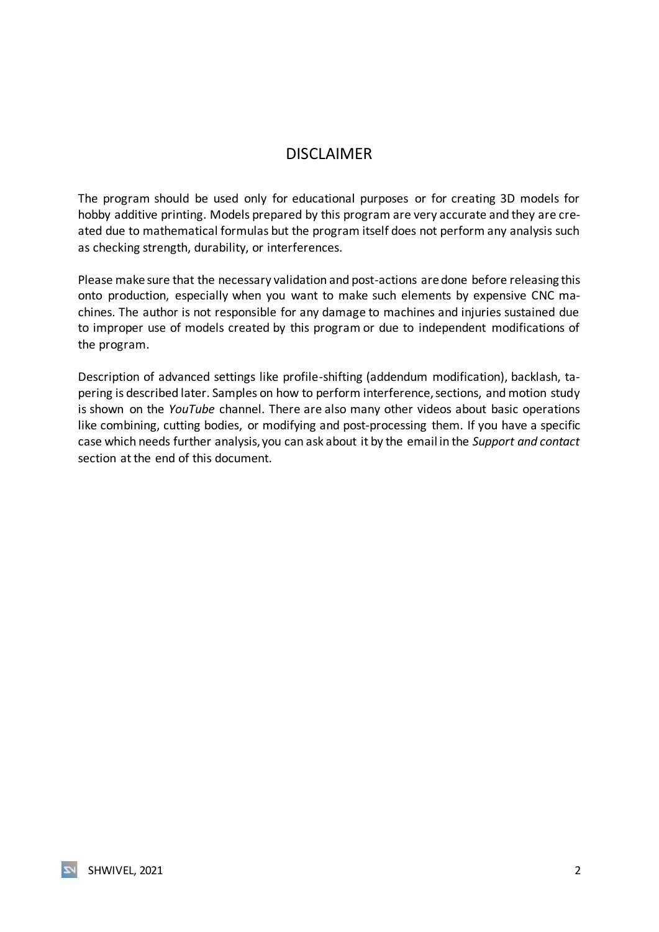## DISCLAIMER

<span id="page-2-0"></span>The program should be used only for educational purposes or for creating 3D models for hobby additive printing. Models prepared by this program are very accurate and they are created due to mathematical formulas but the program itself does not perform any analysis such as checking strength, durability, or interferences.

Please make sure that the necessary validation and post-actions are done before releasing this onto production, especially when you want to make such elements by expensive CNC machines. The author is not responsible for any damage to machines and injuries sustained due to improper use of models created by this program or due to independent modifications of the program.

Description of advanced settings like profile-shifting (addendum modification), backlash, tapering is described later. Samples on how to perform interference, sections, and motion study is shown on the *YouTube* channel. There are also many other videos about basic operations like combining, cutting bodies, or modifying and post-processing them. If you have a specific case which needs further analysis, you can ask about it by the email in the *Support and contact* section at the end of this document.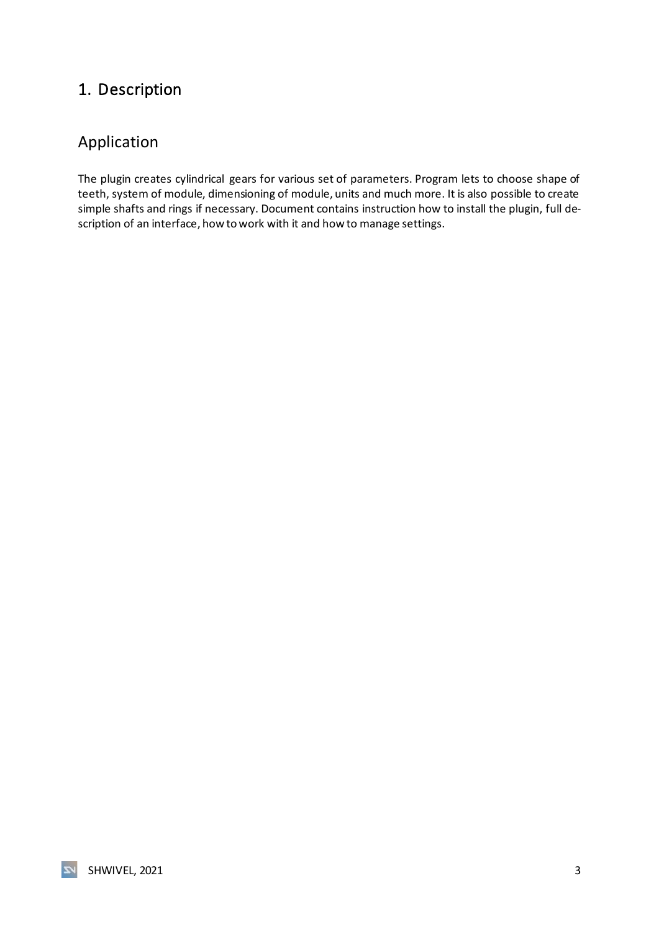# <span id="page-3-0"></span>1. Description

## <span id="page-3-1"></span>Application

The plugin creates cylindrical gears for various set of parameters. Program lets to choose shape of teeth, system of module, dimensioning of module, units and much more. It is also possible to create simple shafts and rings if necessary. Document contains instruction how to install the plugin, full description of an interface, how to work with it and how to manage settings.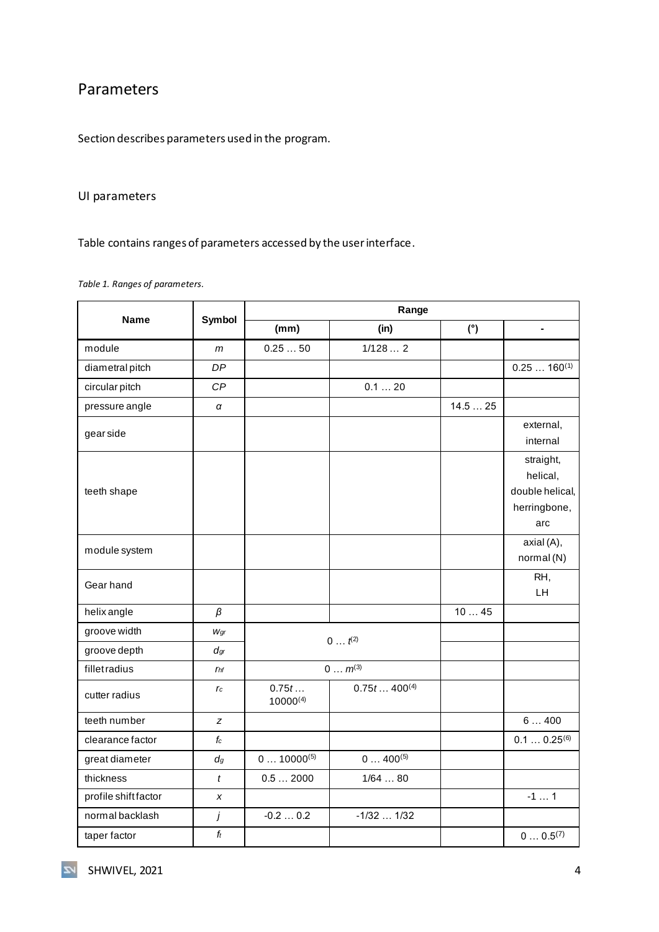## <span id="page-4-0"></span>Parameters

Section describes parameters used in the program.

#### <span id="page-4-1"></span>UI parameters

Table contains ranges of parameters accessed by the user interface.

<span id="page-4-2"></span>*Table 1. Ranges of parameters.*

|                     | Symbol          |                        | Range                      |        |                                                                 |
|---------------------|-----------------|------------------------|----------------------------|--------|-----------------------------------------------------------------|
| <b>Name</b>         |                 | (mm)                   | (in)                       | (°)    | $\blacksquare$                                                  |
| module              | m               | 0.2550                 | 1/1282                     |        |                                                                 |
| diametral pitch     | <b>DP</b>       |                        |                            |        | $0.25160^{(1)}$                                                 |
| circular pitch      | CP              |                        | 0.120                      |        |                                                                 |
| pressure angle      | α               |                        |                            | 14.525 |                                                                 |
| gear side           |                 |                        |                            |        | external,<br>internal                                           |
| teeth shape         |                 |                        |                            |        | straight,<br>helical,<br>double helical,<br>herringbone,<br>arc |
| module system       |                 |                        |                            |        | axial (A),<br>normal (N)                                        |
| Gear hand           |                 |                        |                            |        | RH,<br>LH                                                       |
| helix angle         | $\beta$         |                        |                            | 1045   |                                                                 |
| groove width        | Wgr             | $0 t^{(2)}$            |                            |        |                                                                 |
| groove depth        | $d_{gr}$        |                        |                            |        |                                                                 |
| fillet radius       | r <sub>hf</sub> |                        | $0 m^{(3)}$                |        |                                                                 |
| cutter radius       | $r_c$           | 0.75t<br>$10000^{(4)}$ | $0.75t$ 400 <sup>(4)</sup> |        |                                                                 |
| teeth number        | z               |                        |                            |        | 6400                                                            |
| clearance factor    | $f_c$           |                        |                            |        | $0.10.25^{(6)}$                                                 |
| great diameter      | $d_g$           | $010000^{(5)}$         | $0400^{(5)}$               |        |                                                                 |
| thickness           | $\mathfrak{t}$  | 0.52000                | 1/6480                     |        |                                                                 |
| profile shiftfactor | x               |                        |                            |        | $-11$                                                           |
| normal backlash     | j               | $-0.20.2$              | $-1/32$ 1/32               |        |                                                                 |
| taper factor        | $f_t$           |                        |                            |        | $00.5^{(7)}$                                                    |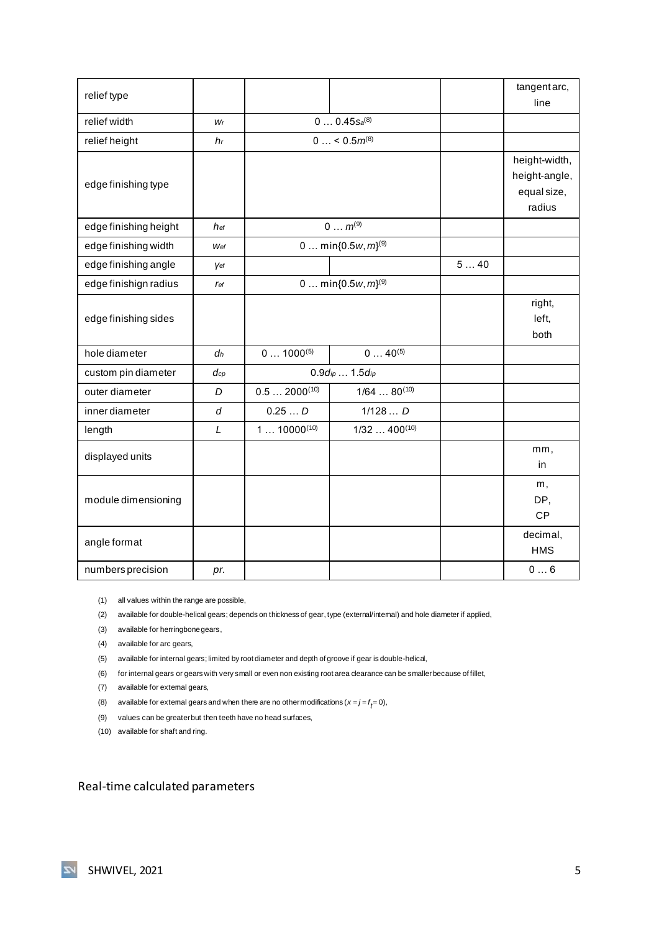| relief type           |                |                  |                            |     | tangent arc,  |
|-----------------------|----------------|------------------|----------------------------|-----|---------------|
|                       |                |                  |                            |     | line          |
| relief width          | Wr             |                  | $0 0.45$ Sa <sup>(8)</sup> |     |               |
| relief height         | h <sub>r</sub> |                  | $0 < 0.5m^{(8)}$           |     |               |
|                       |                |                  |                            |     | height-width, |
| edge finishing type   |                |                  |                            |     | height-angle, |
|                       |                |                  |                            |     | equal size,   |
|                       |                |                  |                            |     | radius        |
| edge finishing height | hef            |                  | $0 m^{(9)}$                |     |               |
| edge finishing width  | Wef            |                  | 0  min ${0.5w, m}^{(9)}$   |     |               |
| edge finishing angle  | Vef            |                  |                            | 540 |               |
| edge finishign radius | <b>r</b> ef    |                  | 0  min ${0.5w, m}^{(9)}$   |     |               |
|                       |                |                  |                            |     | right,        |
| edge finishing sides  |                |                  |                            |     | left,         |
|                       |                |                  |                            |     | both          |
| hole diameter         | $d_h$          | $01000^{(5)}$    | $040^{(5)}$                |     |               |
| custom pin diameter   | $d_{cp}$       |                  | 0.9dip 1.5dip              |     |               |
| outer diameter        | D              | $0.52000^{(10)}$ | $1/6480^{(10)}$            |     |               |
| inner diameter        | d              | 0.25D            | 1/128D                     |     |               |
| length                | L              | $110000^{(10)}$  | $1/32400^{(10)}$           |     |               |
| displayed units       |                |                  |                            |     | mm,           |
|                       |                |                  |                            |     | in            |
|                       |                |                  |                            |     | m,            |
| module dimensioning   |                |                  |                            |     | DP,           |
|                       |                |                  |                            |     | <b>CP</b>     |
| angle format          |                |                  |                            |     | decimal,      |
|                       |                |                  |                            |     | <b>HMS</b>    |
| numbers precision     | pr.            |                  |                            |     | 06            |

(1) all values within the range are possible,

(2) available for double-helical gears; depends on thickness of gear, type (external/internal) and hole diameter if applied,

(3) available for herringbone gears,

(4) available for arc gears,

(5) available for internal gears; limited by root diameter and depth of groove if gear is double-helical,

(6) for internal gears or gears with very small or even non existing root area clearance can be smaller because of fillet,

(7) available for external gears,

(8) available for extemal gears and when there are no other modifications ( $x = j = f_{\vec{\pmb{\ell}}}=0$ ),

(9) values can be greater but then teeth have no head surfaces,

(10) available for shaft and ring.

<span id="page-5-0"></span>Real-time calculated parameters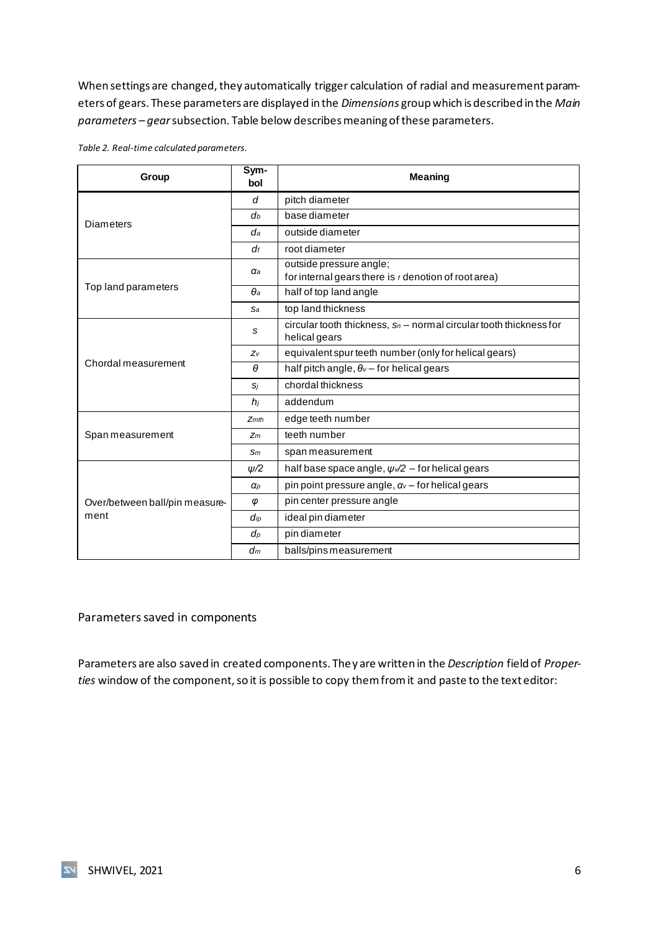When settings are changed, they automatically trigger calculation of radial and measurement parameters of gears. These parameters are displayed in the *Dimensions* group which is described in the *Main parameters – gear*subsection. Table below describes meaning of these parameters.

| Group                                                                                                                                                                                                    | Sym-<br>bol        | <b>Meaning</b>                                                                         |
|----------------------------------------------------------------------------------------------------------------------------------------------------------------------------------------------------------|--------------------|----------------------------------------------------------------------------------------|
|                                                                                                                                                                                                          | d                  | pitch diameter                                                                         |
|                                                                                                                                                                                                          | d <sub>b</sub>     | base diameter                                                                          |
|                                                                                                                                                                                                          | da                 | outside diameter                                                                       |
| <b>Diameters</b><br>$d_f$<br>aа<br>Top land parameters<br>$\theta$ a<br>Sa<br>S<br>Zv<br>Chordal measurement<br>$\theta$<br>Si<br>$h_i$<br>Zm<br>Sm<br>$\alpha_{P}$<br>φ<br>$\mathbf{d}_{ip}$<br>$d_{p}$ |                    | root diameter                                                                          |
|                                                                                                                                                                                                          |                    | outside pressure angle;<br>for internal gears there is $t$ denotion of root area)      |
|                                                                                                                                                                                                          |                    | half of top land angle                                                                 |
|                                                                                                                                                                                                          |                    | top land thickness                                                                     |
|                                                                                                                                                                                                          |                    | circular tooth thickness, $s_n$ – normal circular tooth thickness for<br>helical gears |
|                                                                                                                                                                                                          |                    | equivalent spur teeth number (only for helical gears)                                  |
|                                                                                                                                                                                                          |                    | half pitch angle, $\theta$ <sub>v</sub> – for helical gears                            |
|                                                                                                                                                                                                          |                    | chordal thickness                                                                      |
|                                                                                                                                                                                                          |                    | addendum                                                                               |
|                                                                                                                                                                                                          | $Z$ <sub>mth</sub> | edge teeth number                                                                      |
| Span measurement                                                                                                                                                                                         |                    | teeth number                                                                           |
|                                                                                                                                                                                                          |                    | span measurement                                                                       |
|                                                                                                                                                                                                          | $\psi/2$           | half base space angle, $\psi$ $\sqrt{2}$ – for helical gears                           |
|                                                                                                                                                                                                          |                    | pin point pressure angle, $\alpha_{v}$ – for helical gears                             |
| Over/between ball/pin measure-                                                                                                                                                                           |                    | pin center pressure angle                                                              |
| ment                                                                                                                                                                                                     |                    | ideal pin diameter                                                                     |
|                                                                                                                                                                                                          |                    | pin diameter                                                                           |
|                                                                                                                                                                                                          | $d_m$              | balls/pins measurement                                                                 |

<span id="page-6-1"></span>*Table 2. Real-time calculated parameters.*

<span id="page-6-0"></span>Parameters saved in components

Parameters are also saved in created components. They are written in the *Description* field of *Proper*ties window of the component, so it is possible to copy them from it and paste to the text editor: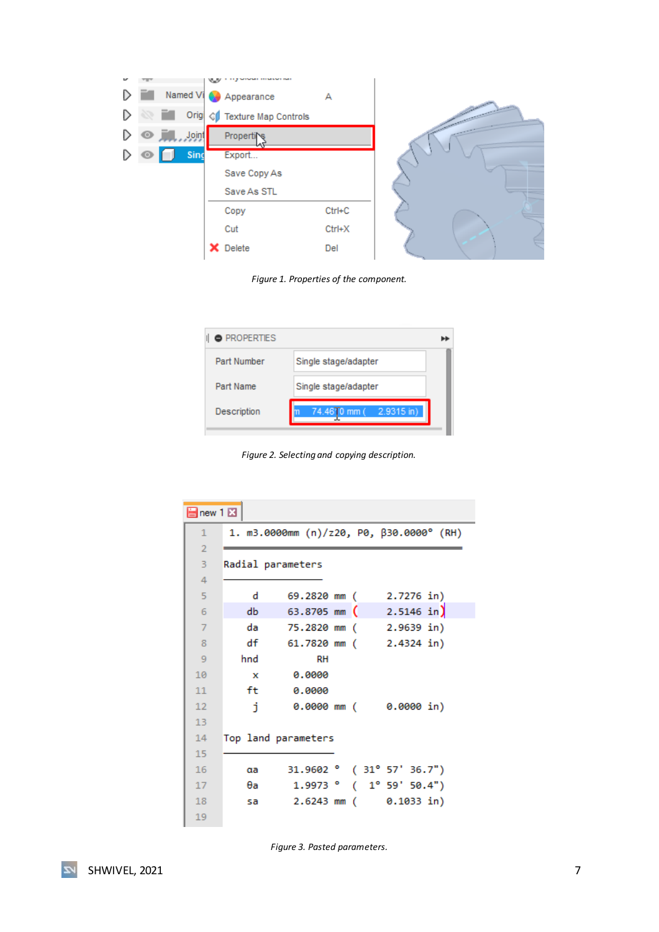



<span id="page-7-0"></span>

| <b>• PROPERTIES</b> |                               |  |
|---------------------|-------------------------------|--|
| Part Number         | Single stage/adapter          |  |
| Part Name           | Single stage/adapter          |  |
| <b>Description</b>  | $-2.9315$ in)<br>74.4610 mm ( |  |

*Figure 2. Selecting and copying description.*

<span id="page-7-1"></span>

|                | <b>B</b> new 1 因 |                     |  |                                          |  |  |
|----------------|------------------|---------------------|--|------------------------------------------|--|--|
| 1              |                  |                     |  | 1. m3.0000mm (n)/z20, P0, β30.0000° (RH) |  |  |
| $\overline{2}$ |                  |                     |  |                                          |  |  |
| 3              |                  | Radial parameters   |  |                                          |  |  |
| 4              |                  |                     |  |                                          |  |  |
| 5              | d                | 69.2820 mm (        |  | 2.7276 in)                               |  |  |
| 6              | db               |                     |  | 63.8705 mm $(2.5146 \text{ in})$         |  |  |
| $\overline{7}$ | da               | 75.2820 mm (        |  | $2.9639$ in)                             |  |  |
| 8              | df               | 61.7820 mm (        |  | $2.4324$ in)                             |  |  |
| 9              | hnd              | <b>RH</b>           |  |                                          |  |  |
| 10             | $\mathbf{x}$     | 0.0000              |  |                                          |  |  |
| 11             | ft.              | 0.0000              |  |                                          |  |  |
| 12             | j.               | $0.0000$ mm (       |  | 0.0000 in)                               |  |  |
| 13             |                  |                     |  |                                          |  |  |
| 14             |                  | Top land parameters |  |                                          |  |  |
| 15             |                  |                     |  |                                          |  |  |
| 16             | αa               |                     |  | $31.9602$ ( $31^{\circ}$ 57' 36.7")      |  |  |
| 17             | θa               |                     |  | $1.9973$ $(1°59'50.4")$                  |  |  |
| 18             | sa               | $2.6243$ mm (       |  | $0.1033$ in)                             |  |  |
| 19             |                  |                     |  |                                          |  |  |

<span id="page-7-2"></span>*Figure 3. Pasted parameters.*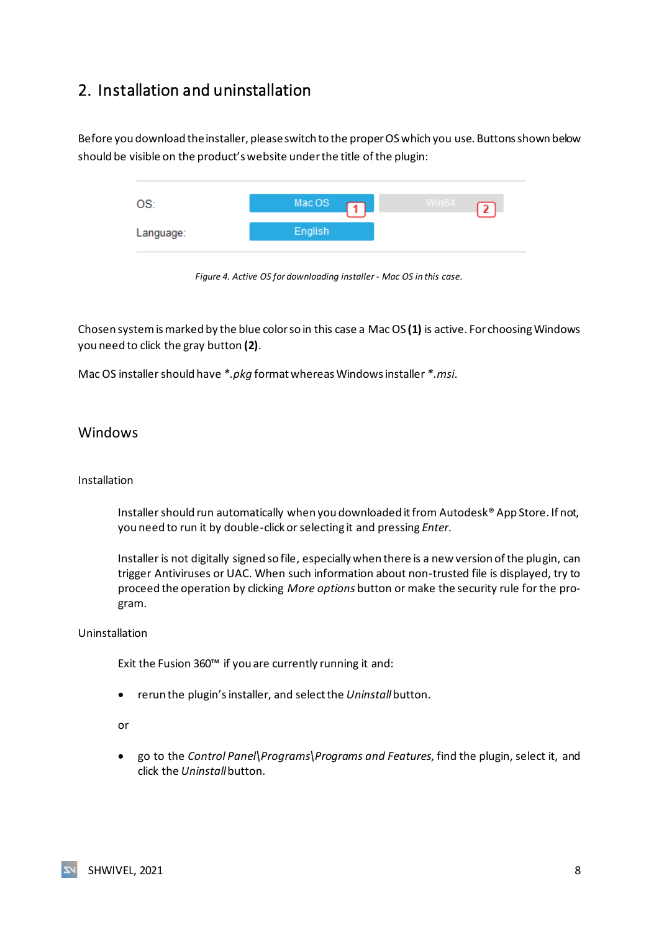## <span id="page-8-0"></span>2. Installation and uninstallation

Before you download the installer, please switch to the proper OS which you use. Buttons shown below should be visible on the product's website under the title of the plugin:



*Figure 4. Active OS for downloading installer - Mac OS in this case.*

<span id="page-8-2"></span>Chosen system is marked by the blue color so in this case a Mac OS **(1)** is active. For choosing Windows you need to click the gray button **(2)**.

Mac OS installer should have *\*.pkg* format whereas Windows installer *\*.msi*.

#### <span id="page-8-1"></span>**Windows**

#### Installation

Installer should run automatically when you downloaded it from Autodesk® App Store. If not, you need to run it by double-click or selecting it and pressing *Enter*.

Installer is not digitally signed so file, especially when there is a new version of the plugin, can trigger Antiviruses or UAC. When such information about non-trusted file is displayed, try to proceed the operation by clicking *More options* button or make the security rule for the program.

#### Uninstallation

Exit the Fusion 360™ if you are currently running it and:

• rerun the plugin's installer, and select the *Uninstall*button.

or

• go to the *Control Panel\Programs\Programs and Features*, find the plugin, select it, and click the *Uninstall* button.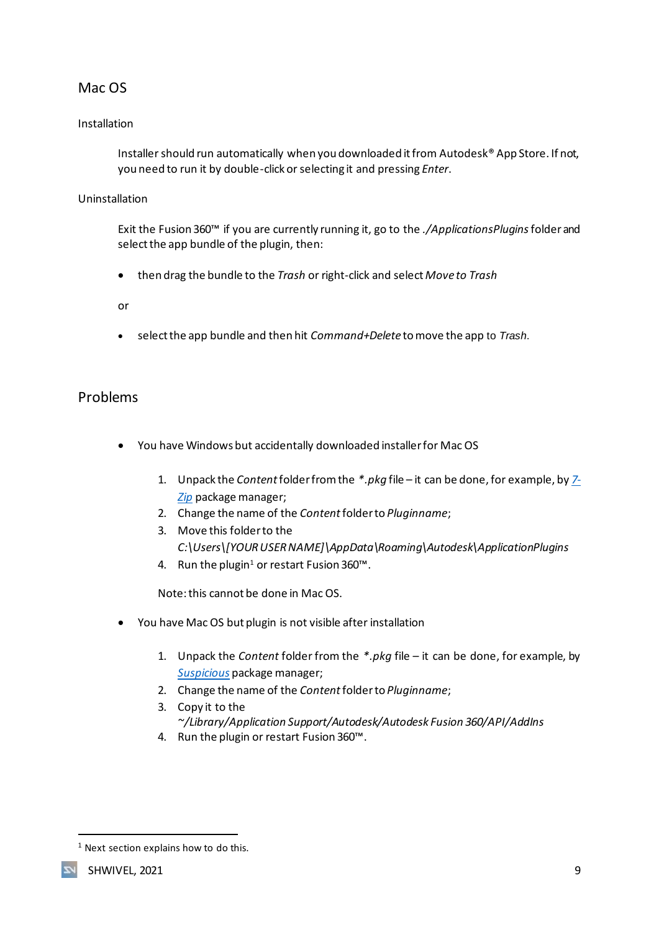## <span id="page-9-0"></span>Mac OS

#### Installation

Installer should run automatically when you downloaded it from Autodesk® App Store. If not, you need to run it by double-click or selecting it and pressing *Enter*.

#### Uninstallation

Exit the Fusion 360™ if you are currently running it, go to the *./ApplicationsPlugins*folder and select the app bundle of the plugin, then:

• then drag the bundle to the *Trash* or right-click and select *Move to Trash*

or

• select the app bundle and then hit *Command+Delete* to move the app to *Trash*.

#### <span id="page-9-1"></span>Problems

- You have Windows but accidentally downloaded installer for Mac OS
	- 1. Unpack the *Content*folder from the *\*.pkg* file it can be done, for example, by *[7-](https://www.7-zip.org/) [Zip](https://www.7-zip.org/)* package manager;
	- 2. Change the name of the *Content* folder to *Pluginname*;
	- 3. Move this folder to the *C:\Users\[YOUR USER NAME]\AppData\Roaming\Autodesk\ApplicationPlugins*
	- 4. Run the plugin<sup>1</sup> or restart Fusion 360<sup>™</sup>.

Note: this cannot be done in Mac OS.

- You have Mac OS but plugin is not visible after installation
	- 1. Unpack the *Content* folder from the *\*.pkg* file it can be done, for example, by *[Suspicious](https://mothersruin.com/software/SuspiciousPackage/)* package manager;
	- 2. Change the name of the *Content* folder to *Pluginname*;
	- 3. Copy it to the *~/Library/Application Support/Autodesk/Autodesk Fusion 360/API/AddIns*
	- 4. Run the plugin or restart Fusion 360™.

<sup>&</sup>lt;sup>1</sup> Next section explains how to do this.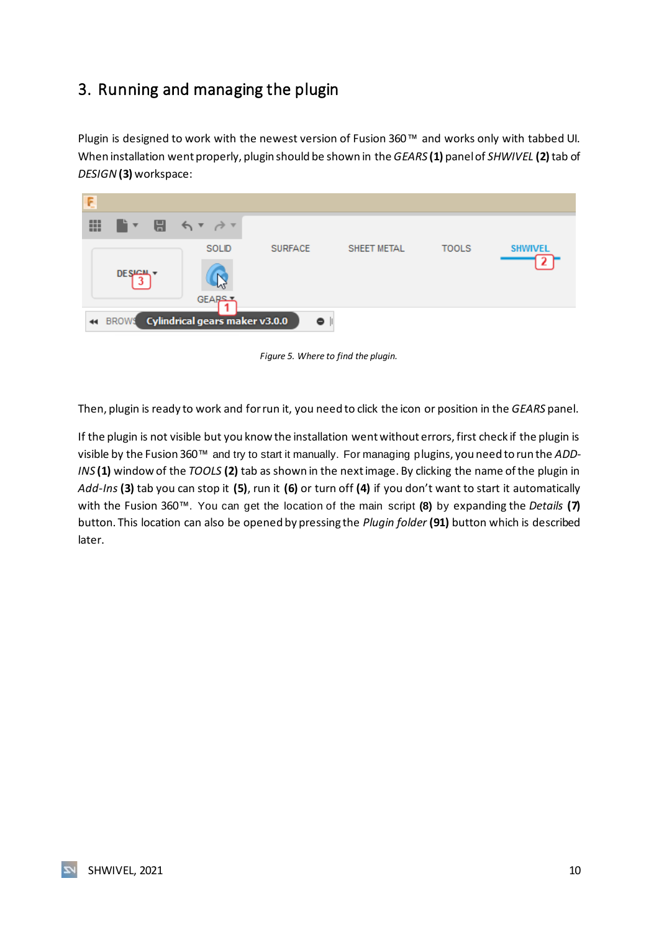# <span id="page-10-0"></span>3. Running and managing the plugin

Plugin is designed to work with the newest version of Fusion 360™ and works only with tabbed UI. When installation went properly, plugin should be shown in the *GEARS* **(1)** panel of *SHWIVEL* **(2)** tab of *DESIGN***(3)** workspace:

| Ę |               |                                |                |             |              |                |
|---|---------------|--------------------------------|----------------|-------------|--------------|----------------|
| ₩ |               | ■▼ 日 ちゃきゃ                      |                |             |              |                |
|   |               | SOLID                          | <b>SURFACE</b> | SHEET METAL | <b>TOOLS</b> | <b>SHWIVEL</b> |
|   | <b>DESIGN</b> |                                |                |             |              |                |
|   |               | GEARS 7                        |                |             |              |                |
|   | 44 BROWS      | Cylindrical gears maker v3.0.0 | ۰              |             |              |                |

*Figure 5. Where to find the plugin.*

<span id="page-10-1"></span>Then, plugin is ready to work and for run it, you need to click the icon or position in the *GEARS* panel.

If the plugin is not visible but you know the installation went without errors, first check if the plugin is visible by the Fusion 360™ and try to start it manually. For managing plugins, you need to run the *ADD-INS* **(1)** window of the *TOOLS* **(2)** tab as shown in the next image. By clicking the name of the plugin in *Add-Ins* **(3)** tab you can stop it **(5)**, run it **(6)** or turn off **(4)** if you don't want to start it automatically with the Fusion 360™. You can get the location of the main script **(8)** by expanding the *Details* **(7)** button. This location can also be opened by pressing the *Plugin folder* **(91)** button which is described later.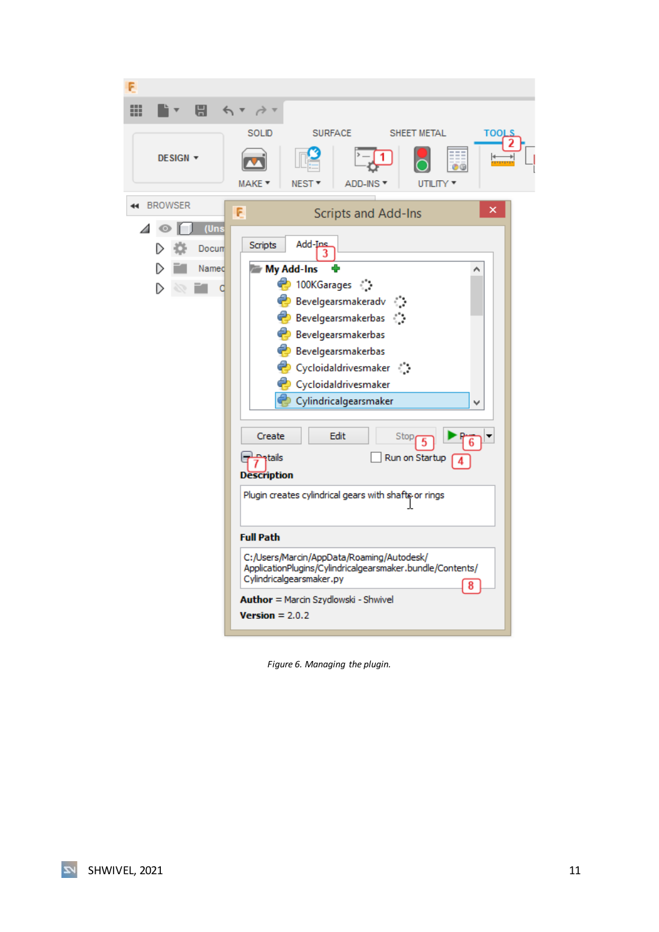| ⊞<br>8                                 |                                                                                                                                                                                                                                                                                                                                                                                                                                                                                                                                             |
|----------------------------------------|---------------------------------------------------------------------------------------------------------------------------------------------------------------------------------------------------------------------------------------------------------------------------------------------------------------------------------------------------------------------------------------------------------------------------------------------------------------------------------------------------------------------------------------------|
| DESIGN <b>v</b>                        | <b>SOLID</b><br><b>SURFACE</b><br>SHEET METAL<br>TOOLS<br>MAKE *<br>NEST <sup>*</sup><br>ADD-INS T<br>UTILITY <b>*</b>                                                                                                                                                                                                                                                                                                                                                                                                                      |
| <b>BROWSER</b><br>$\blacktriangleleft$ | ×<br>E<br><b>Scripts and Add-Ins</b>                                                                                                                                                                                                                                                                                                                                                                                                                                                                                                        |
| (Uns<br>Docum<br>Named                 | Add-Ins<br><b>Scripts</b><br>My Add-Ins<br>♦ 100KGarages ﴾<br>Bevelgearsmakeradv<br>Bevelgearsmakerbas :<br>Bevelgearsmakerbas<br>Bevelgearsmakerbas<br>Cycloidaldrivesmaker (<br>Cycloidaldrivesmaker<br>Cylindricalgearsmaker<br>Edit<br>Create<br>Stop<br><b>Patails</b><br>Run on Startup<br><b>Description</b><br>Plugin creates cylindrical gears with shafts or rings<br><b>Full Path</b><br>C:/Users/Marcin/AppData/Roaming/Autodesk/<br>ApplicationPlugins/Cylindricalgearsmaker.bundle/Contents/<br>Cylindricalgearsmaker.py<br>8 |
|                                        | Author = Marcin Szydlowski - Shwivel<br>$Version = 2.0.2$                                                                                                                                                                                                                                                                                                                                                                                                                                                                                   |
|                                        |                                                                                                                                                                                                                                                                                                                                                                                                                                                                                                                                             |

<span id="page-11-0"></span>*Figure 6. Managing the plugin.*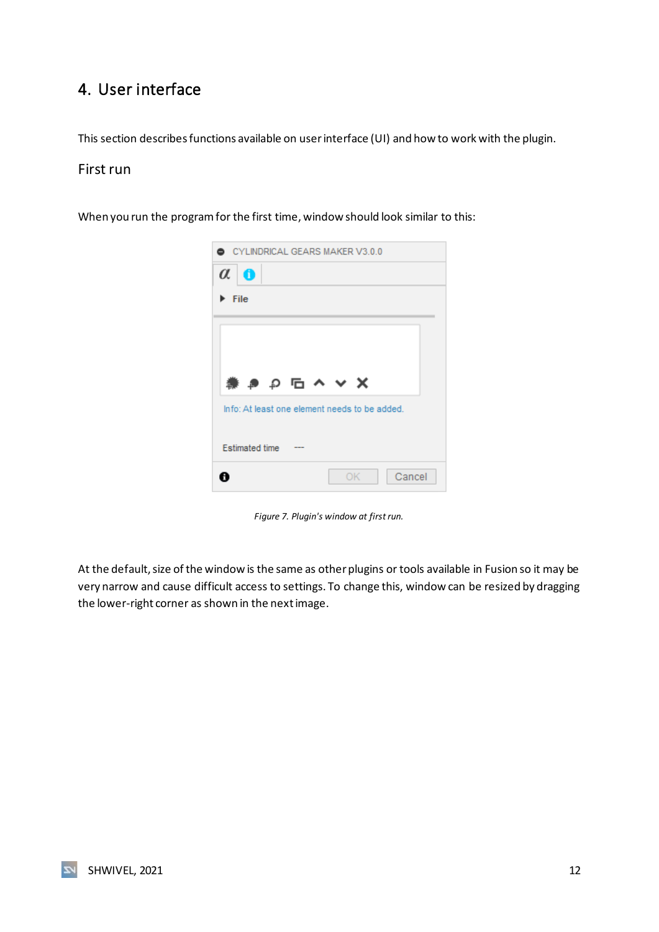# <span id="page-12-0"></span>4. User interface

This section describes functions available on user interface (UI) and how to work with the plugin.

#### <span id="page-12-1"></span>First run

When you run the program for the first time, window should look similar to this:



*Figure 7. Plugin's window at first run.*

<span id="page-12-2"></span>At the default, size of the window is the same as other plugins or tools available in Fusion so it may be very narrow and cause difficult access to settings. To change this, window can be resized by dragging the lower-right corner as shown in the next image.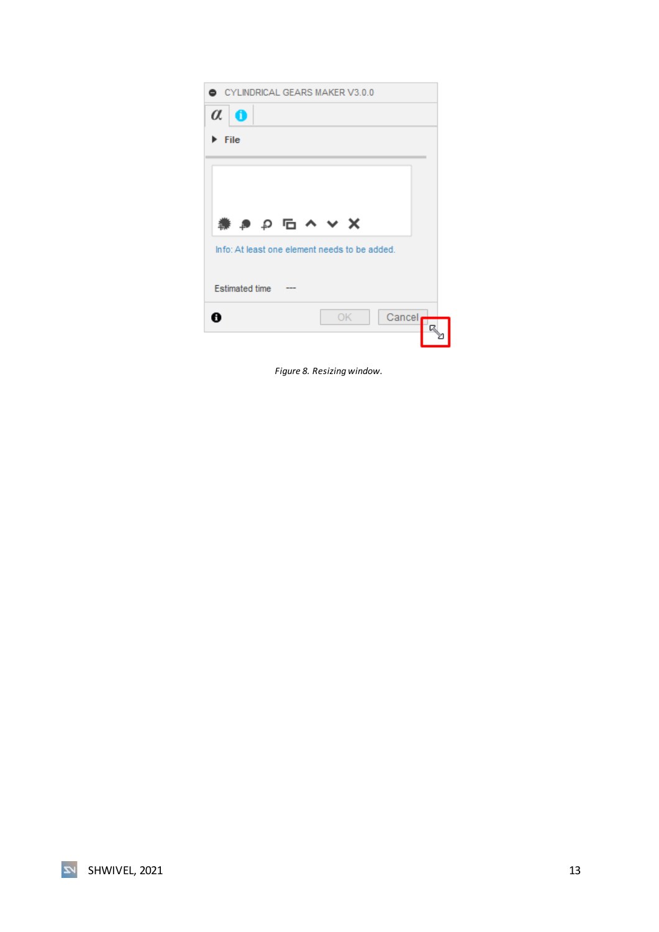| $\alpha$<br>0         | CYLINDRICAL GEARS MAKER V3.0.0                |        |  |
|-----------------------|-----------------------------------------------|--------|--|
| File                  |                                               |        |  |
|                       |                                               |        |  |
|                       |                                               |        |  |
|                       | 業 き り �� ヘ ∨ X                                |        |  |
|                       | Info: At least one element needs to be added. |        |  |
|                       |                                               |        |  |
| <b>Estimated time</b> |                                               |        |  |
|                       | OK                                            | Cancel |  |

<span id="page-13-0"></span>*Figure 8. Resizing window.*

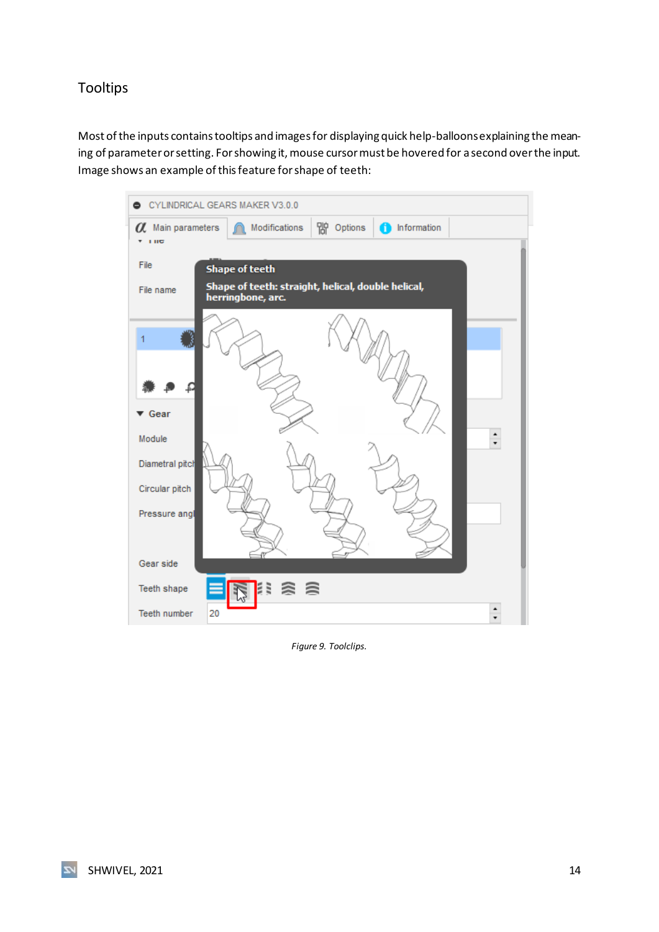## <span id="page-14-0"></span>Tooltips

Most of the inputs contains tooltips and images for displaying quick help-balloonsexplaining the meaning of parameter or setting. For showing it, mouse cursor must be hovered for a second over the input. Image shows an example of this feature for shape of teeth:

| CYLINDRICAL GEARS MAKER V3.0.0<br>۰ |                                                                         |
|-------------------------------------|-------------------------------------------------------------------------|
| O Main parameters<br>$+10$          | 帘<br>Modifications<br>Options<br>Information<br>T                       |
|                                     |                                                                         |
| File                                | <b>Shape of teeth</b>                                                   |
| File name                           | Shape of teeth: straight, helical, double helical,<br>herringbone, arc. |
|                                     |                                                                         |
|                                     |                                                                         |
| $\blacktriangledown$ Gear           |                                                                         |
| Module                              | $\frac{1}{x}$                                                           |
| Diametral pitch                     |                                                                         |
| Circular pitch                      |                                                                         |
| Pressure angl                       |                                                                         |
| Gear side                           |                                                                         |
| Teeth shape                         | ≳ ⊜<br>Ε                                                                |
| Teeth number<br>20                  |                                                                         |

<span id="page-14-1"></span>*Figure 9. Toolclips.*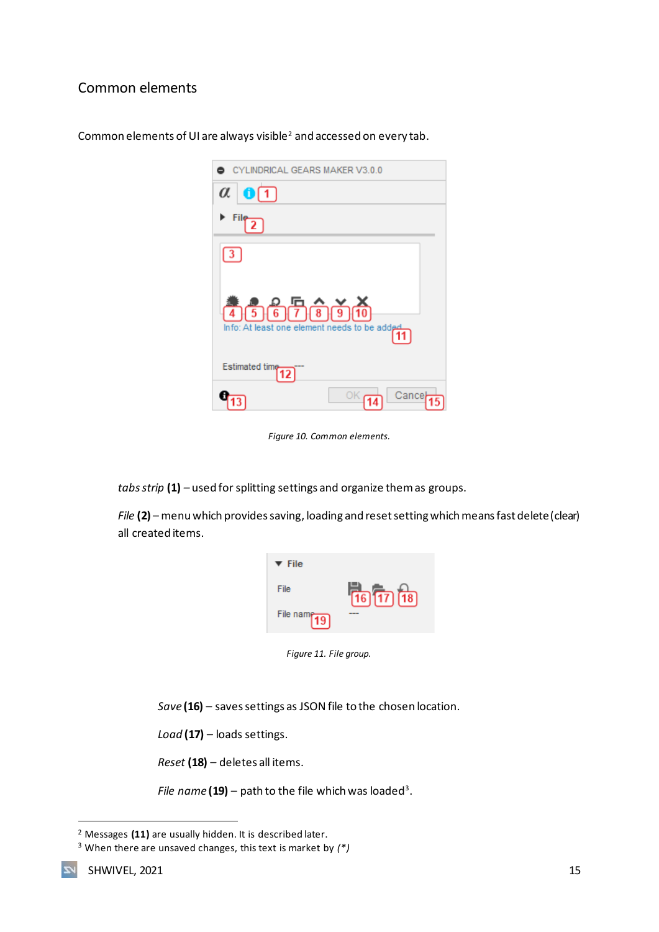## <span id="page-15-0"></span>Common elements

| CYLINDRICAL GEARS MAKER V3.0.0                          |
|---------------------------------------------------------|
| $\alpha$<br>$0\sqrt{1}$                                 |
| File                                                    |
| $\vert 3 \vert$                                         |
| 4567696<br>Info: At least one element needs to be added |
| Estimated time<br>12                                    |
| Cance                                                   |

Common elements of UI are always visible<sup>2</sup> and accessed on every tab.

*Figure 10. Common elements.*

<span id="page-15-1"></span>*tabs strip* **(1)** *–* used for splitting settings and organize them as groups.

*File* **(2)** – menu which provides saving, loading and reset setting which means fast delete (clear) all created items.

| $\blacktriangledown$ File |                                     |
|---------------------------|-------------------------------------|
| File                      | $\sqrt{16}$ $\sqrt{17}$ $\sqrt{18}$ |
| File name $\sqrt{19}$     |                                     |

*Figure 11. File group.*

<span id="page-15-2"></span>*Save* **(16)** – saves settings as JSON file to the chosen location.

*Load* **(17)** *–* loads settings.

*Reset* **(18)** *–* deletes all items.

File name  $(19)$  – path to the file which was loaded<sup>3</sup>.

<sup>2</sup> Messages **(11)** are usually hidden. It is described later.

<sup>3</sup> When there are unsaved changes, this text is market by *(\*)*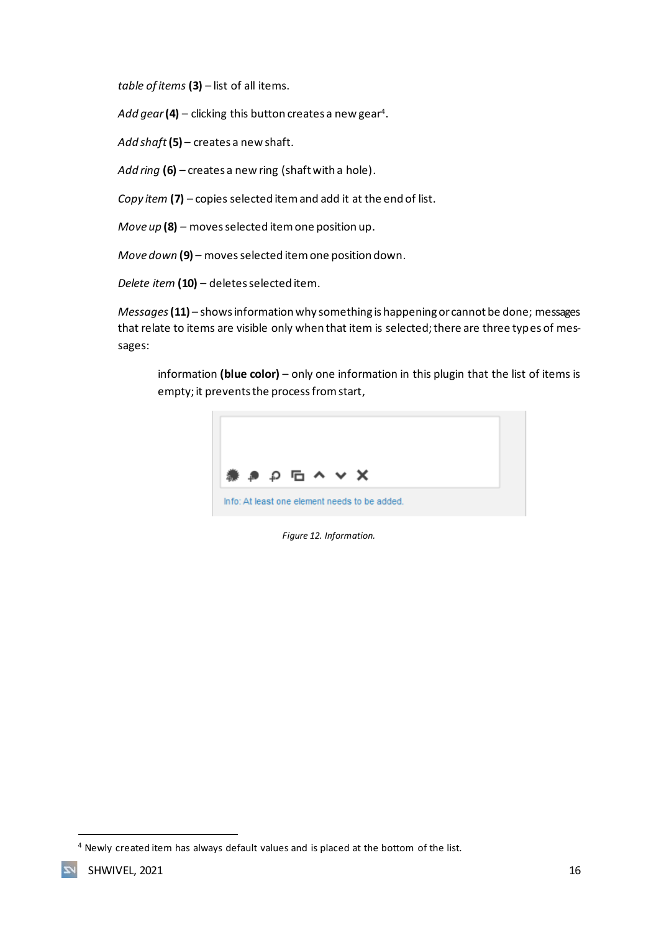*table of items* **(3)** – list of all items.

A*dd gear* **(4)** – clicking this button creates a new gear<sup>4</sup>.

*Add shaft***(5)** – creates a new shaft.

*Add ring* **(6)** – creates a new ring (shaft with a hole).

*Copy item* **(7)** *–* copies selected item and add it at the end of list.

*Move up* **(8)** *–* moves selected item one position up.

*Move down* **(9)** *–* moves selected item one position down.

*Delete item* **(10)** – deletes selected item.

*Messages***(11)** *–* shows information why something is happening or cannot be done; messages that relate to items are visible only when that item is selected; there are three types of messages:

information **(blue color)** – only one information in this plugin that the list of items is empty; it prevents the process from start,

<span id="page-16-0"></span>

*Figure 12. Information.*

<sup>&</sup>lt;sup>4</sup> Newly created item has always default values and is placed at the bottom of the list.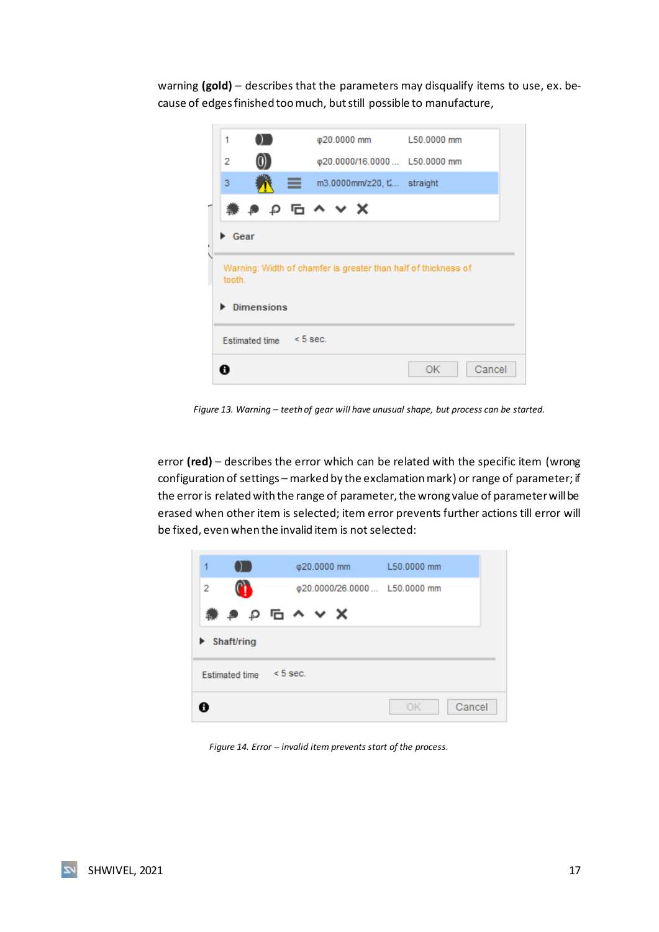warning **(gold)** – describes that the parameters may disqualify items to use, ex. because of edges finished too much, but still possible to manufacture,

| 1         |                         |    | φ20.0000 mm               | L50.0000 mm                                                    |  |
|-----------|-------------------------|----|---------------------------|----------------------------------------------------------------|--|
| 2         |                         |    |                           | @20.0000/16.0000  L50.0000 mm                                  |  |
| 3         |                         | ≡. | m3.0000mm/z20, t straight |                                                                |  |
|           |                         |    | # P P G ^ Y X             |                                                                |  |
| Gear<br>٠ |                         |    |                           |                                                                |  |
| tooth.    |                         |    |                           | Warning: Width of chamfer is greater than half of thickness of |  |
|           | <b>Dimensions</b>       |    |                           |                                                                |  |
|           | Estimated time < 5 sec. |    |                           |                                                                |  |

*Figure 13. Warning – teeth of gear will have unusual shape, but process can be started.*

<span id="page-17-0"></span>error **(red)** – describes the error which can be related with the specific item (wrong configuration of settings – marked by the exclamation mark) or range of parameter; if the error is related with the range of parameter, the wrong value of parameter will be erased when other item is selected; item error prevents further actions till error will be fixed, even when the invalid item is not selected:

<span id="page-17-1"></span>

*Figure 14. Error – invalid item prevents start of the process.*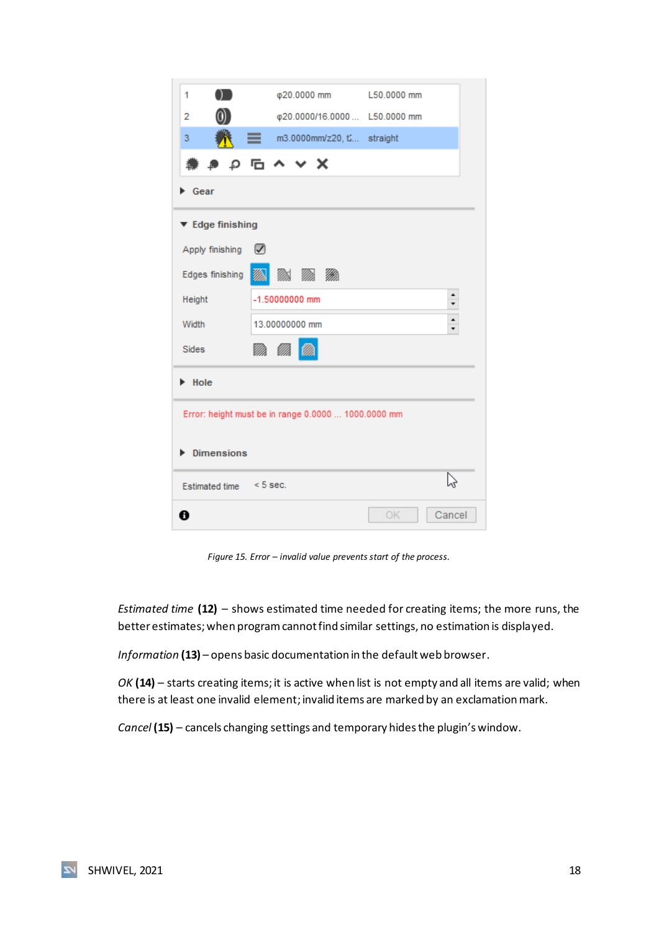| 1                       | φ20.0000 mm                                         | L50.0000 mm  |
|-------------------------|-----------------------------------------------------|--------------|
| 2                       | φ20.0000/16.0000  L50.0000 mm                       |              |
| 3                       | m3.0000mm/z20, t straight                           |              |
|                         | ∌ ₽ ⊡ ∧ ∨ Х                                         |              |
| Gear                    |                                                     |              |
| ▼ Edge finishing        |                                                     |              |
| Apply finishing         | $\sqrt{ }$                                          |              |
| Edges finishing         | 21 R 22                                             |              |
| Height                  | -1.50000000 mm                                      | ۰<br>۰       |
| Width                   | 13.00000000 mm                                      | ۰<br>۰       |
| <b>Sides</b>            | M. M                                                |              |
| Hole                    |                                                     |              |
|                         | Error: height must be in range 0.0000  1000.0000 mm |              |
| <b>Dimensions</b>       |                                                     |              |
| Estimated time < 5 sec. |                                                     |              |
| A                       |                                                     | OK<br>Cancel |

*Figure 15. Error – invalid value prevents start of the process.*

<span id="page-18-0"></span>*Estimated time* **(12)** – shows estimated time needed for creating items; the more runs, the better estimates; when program cannot find similar settings, no estimation is displayed.

*Information* **(13)** – opens basic documentation in the default web browser.

*OK* **(14)** – starts creating items; it is active when list is not empty and all items are valid; when there is at least one invalid element; invalid items are marked by an exclamation mark.

*Cancel* **(15)** *–* cancels changing settings and temporary hides the plugin's window.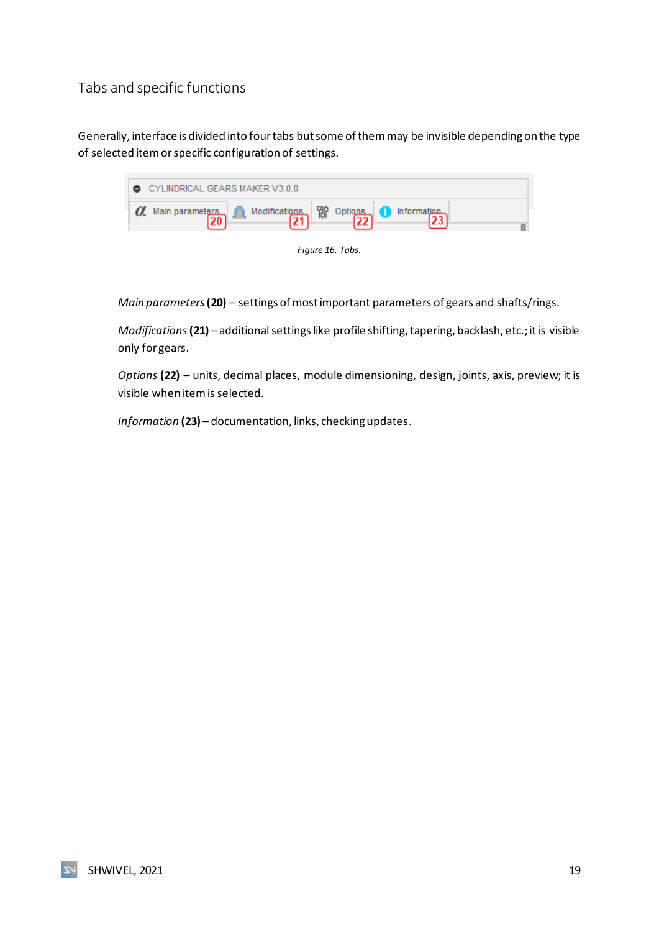## <span id="page-19-0"></span>Tabs and specific functions

Generally, interface is divided into fourtabs but some of them may be invisible depending on the type of selected item or specific configuration of settings.

| $\bullet$ CYLINDRICAL GEARS MAKER V3.0.0                                             |  |  |
|--------------------------------------------------------------------------------------|--|--|
| $\alpha$ Main parameters $\alpha$ Modifications $\beta$ Options $\alpha$ Information |  |  |



<span id="page-19-1"></span>*Main parameters***(20)** – settings of most important parameters of gears and shafts/rings.

*Modifications* (21) – additional settings like profile shifting, tapering, backlash, etc.; it is visible only for gears.

*Options* **(22)** – units, decimal places, module dimensioning, design, joints, axis, preview; it is visible when item is selected.

*Information* **(23)** – documentation, links, checking updates.

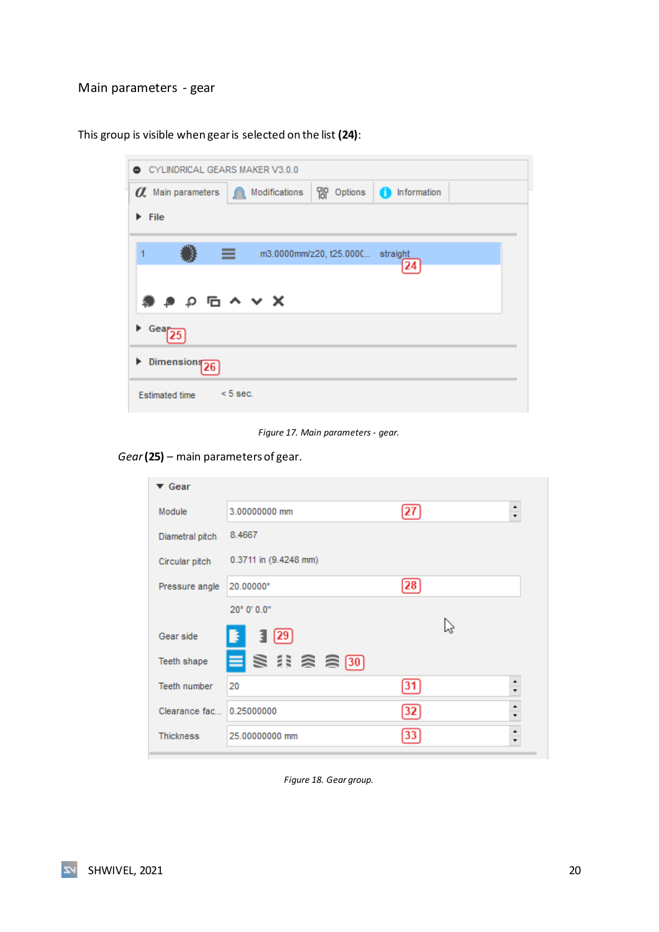#### <span id="page-20-0"></span>Main parameters - gear

This group is visible when gear is selected on the list **(24)**:

|                                            | CYLINDRICAL GEARS MAKER V3.0.0 |                                  |            |
|--------------------------------------------|--------------------------------|----------------------------------|------------|
| <b><i>O</i></b> Main parameters            | Modifications                  | ) Options                        | nformation |
| $\blacktriangleright$ File                 |                                |                                  |            |
|                                            |                                |                                  |            |
| ≡                                          |                                | m3.0000mm/z20, t25.000C straight | 24         |
|                                            |                                |                                  |            |
| $\bullet$ $\rho$ $\Box$ $\land$ $\lor$ $X$ |                                |                                  |            |
|                                            |                                |                                  |            |
| $\triangleright$ Gear                      |                                |                                  |            |
| Dimensions <sub>26</sub>                   |                                |                                  |            |

*Figure 17. Main parameters - gear.*

<span id="page-20-1"></span>*Gear***(25)** – main parameters of gear.

| $\blacktriangledown$ Gear |                       |    |                      |
|---------------------------|-----------------------|----|----------------------|
| Module                    | 3.00000000 mm         | 27 | $\div$               |
| Diametral pitch           | 8.4667                |    |                      |
| Circular pitch            | 0.3711 in (9.4248 mm) |    |                      |
| Pressure angle            | 20.00000°             | 28 |                      |
|                           | 20° 0' 0.0"           |    |                      |
| Gear side                 | 3(29)<br>F.           |    |                      |
| Teeth shape               | 目导注念高30               |    |                      |
| Teeth number              | 20                    | 31 | $\ddot{\phantom{a}}$ |
| Clearance fac 0.25000000  |                       | 32 | ٠                    |
| <b>Thickness</b>          | 25.00000000 mm        | 33 | $\ddot{\cdot}$       |

<span id="page-20-2"></span>*Figure 18. Gear group.*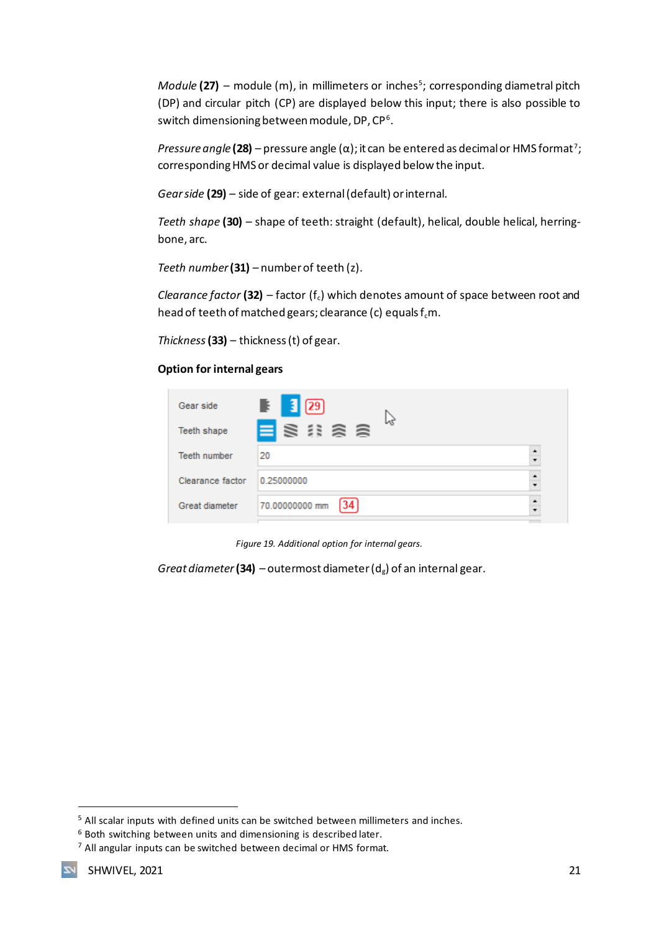*Module* (27) – module (m), in millimeters or inches<sup>5</sup>; corresponding diametral pitch (DP) and circular pitch (CP) are displayed below this input; there is also possible to switch dimensioning between module, DP, CP $^6$ .

*Pressure angle* **(28)** – pressure angle (α); it can be entered as decimal or HMS format<sup>7</sup>; corresponding HMS or decimal value is displayed below the input.

*Gear side* **(29)** *–* side of gear: external (default) or internal.

*Teeth shape* **(30)** – shape of teeth: straight (default), helical, double helical, herringbone, arc.

*Teeth number***(31)** *–* number of teeth (z).

*Clearance factor* (32) – factor ( $f_c$ ) which denotes amount of space between root and head of teeth of matched gears; clearance (c) equals  $f<sub>c</sub>m$ .

*Thickness***(33)** *–* thickness (t) of gear.

#### **Option for internal gears**

| Gear side           | $\mathbb{F}$ 3 29      |  |
|---------------------|------------------------|--|
| Teeth shape         | <b>ESRAS</b>           |  |
| <b>Teeth number</b> | 20                     |  |
| Clearance factor    | 0.25000000             |  |
| Great diameter      | 70.00000000 mm<br>[34] |  |

*Figure 19. Additional option for internal gears.*

<span id="page-21-0"></span>*Great diameter* (34) – outermost diameter ( $d_g$ ) of an internal gear.

<sup>5</sup> All scalar inputs with defined units can be switched between millimeters and inches.

<sup>6</sup> Both switching between units and dimensioning is described later.

<sup>7</sup> All angular inputs can be switched between decimal or HMS format.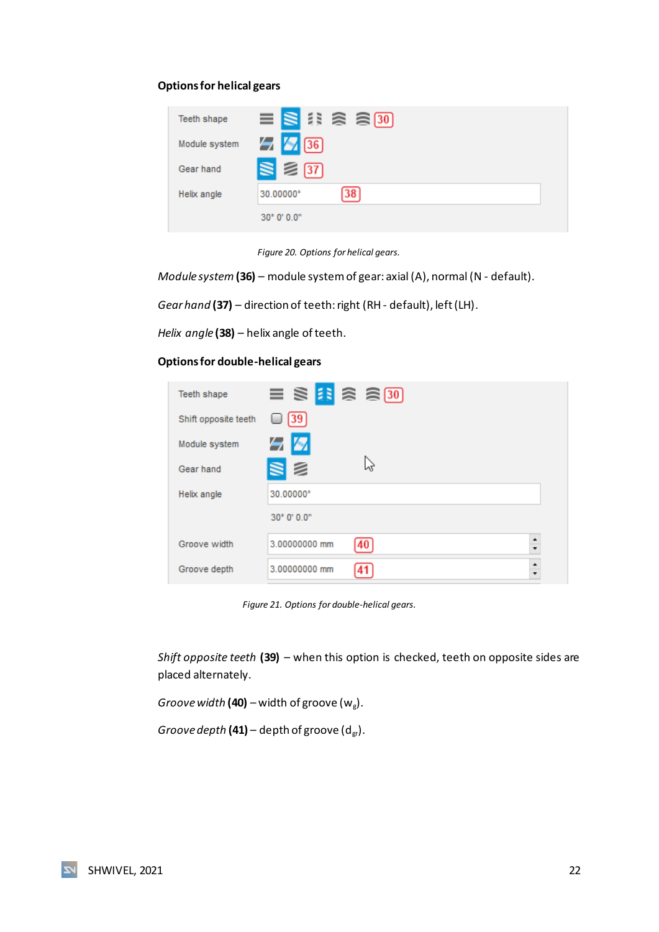#### **Options for helical gears**

| Teeth shape   | $\equiv$ $\geq$ $\approx$ $\approx$ $\approx$ $\approx$ $\approx$ |
|---------------|-------------------------------------------------------------------|
| Module system | $\frac{1}{2}$ $\frac{1}{2}$ 36                                    |
| Gear hand     | $\geqslant$ 37                                                    |
| Helix angle   | $\sqrt{38}$<br>30.00000°                                          |
|               | $30^{\circ}$ 0' 0.0"                                              |

*Figure 20. Options for helical gears.*

<span id="page-22-0"></span>*Module system***(36)** – module system of gear: axial (A), normal (N - default).

*Gear hand* **(37)** *–* direction of teeth: right (RH - default), left (LH).

*Helix angle* **(38)** *–* helix angle of teeth.

**Options for double-helical gears**

| Teeth shape          | $\equiv$ \$ 3 3 3 $\rightarrow$                  |
|----------------------|--------------------------------------------------|
| Shift opposite teeth | $[39]$                                           |
| Module system        | 58                                               |
| Gear hand            | SØ<br>W                                          |
| Helix angle          | 30.00000°                                        |
|                      | $30^{\circ}$ 0' $0.0^{\circ}$                    |
| Groove width         | $\ddot{\phantom{1}}$<br>3.00000000 mm<br>40      |
| Groove depth         | $\ddot{\phantom{0}}$<br>3.00000000 mm<br>41<br>۰ |

*Figure 21. Options for double-helical gears.*

<span id="page-22-1"></span>*Shift opposite teeth* **(39)** – when this option is checked, teeth on opposite sides are placed alternately.

*Groove width* **(40)** – width of groove  $(w_g)$ .

*Groove depth* (41) – depth of groove (d<sub>gr</sub>).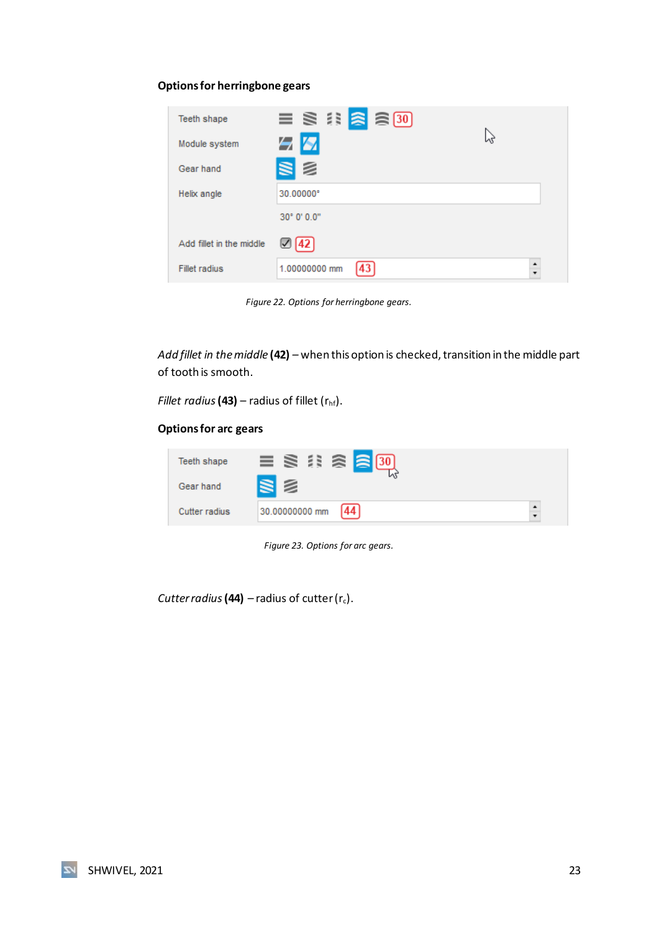#### **Options for herringbone gears**

| <b>Teeth shape</b>       | $\equiv$ \$ $\stackrel{?}{\approx}$ \$ $\stackrel{?}{\approx}$ \$ 30 |
|--------------------------|----------------------------------------------------------------------|
| Module system            | じ<br>53                                                              |
| Gear hand                | S 2                                                                  |
| Helix angle              | 30.00000°                                                            |
|                          | 30° 0' 0.0"                                                          |
| Add fillet in the middle | $\mathbb{Z}[42]$                                                     |
| <b>Fillet radius</b>     | $\ddot{\cdot}$<br>1.00000000 mm<br>43                                |

*Figure 22. Options for herringbone gears.*

<span id="page-23-0"></span>*Add fillet in the middle* **(42)** *–* when this option is checked, transition in the middle part of tooth is smooth.

*Fillet radius*  $(43)$  – radius of fillet  $(r<sub>hf</sub>)$ .

#### **Options for arc gears**

| Teeth shape   | $\equiv$ \$ $\stackrel{?}{\approx}$ \$ $\stackrel{?}{\approx}$ 6 0 |  |
|---------------|--------------------------------------------------------------------|--|
| Gear hand     | SE                                                                 |  |
| Cutter radius | [44]<br>30.00000000 mm                                             |  |

*Figure 23. Options for arc gears.*

<span id="page-23-1"></span>*Cutter radius* (44)  $-$  radius of cutter ( $r_c$ ).

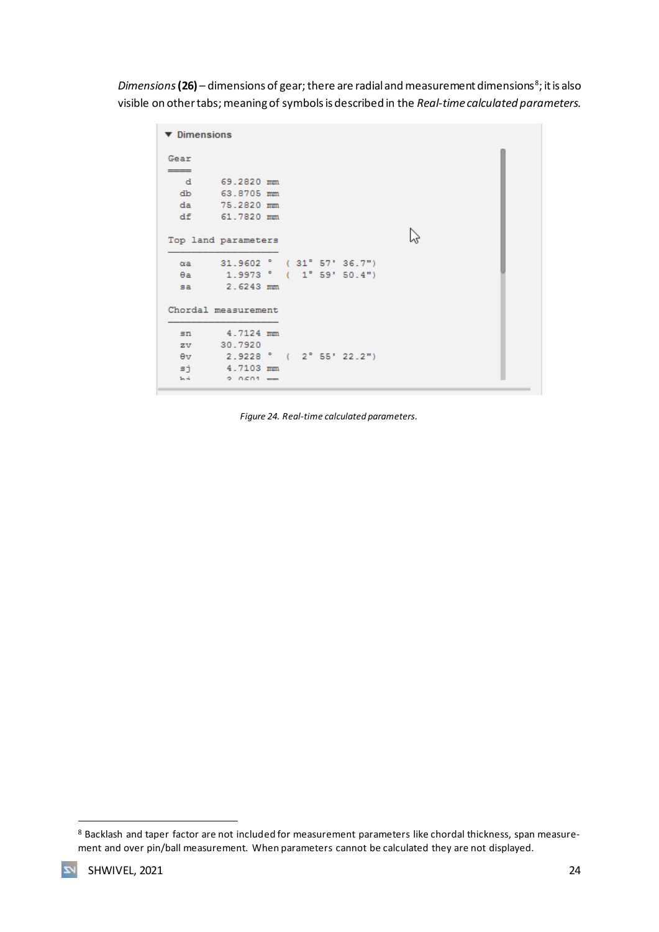Dimensions **(26)** – dimensions of gear; there are radial and measurement dimensions<sup>8</sup>; it is also visible on other tabs; meaning of symbols is described in the *Real-time calculated parameters.*

```
\blacktriangledown Dimensions
Gear
         69.2820 mm
   \mathbf{d}63.8705 mm
  dbda75.2820 mm
          61.7820 mm
  df\mathbb{P}Top land parameters
         31.9602 ° (31°57'36.7")
  \alphaa
          1.9973 (1°59'50.4")\thetaa
           2.6243 mm
  5aChordal measurement
          4.7124 mm
  sn30.7920
  \mathbf{z} \mathbf{v}2.9228 ^{\circ} ( 2^{\circ} 55' 22.2")
  \theta v4.7103 mm
  sj
  \ln{4}0.0501...
```
<span id="page-24-0"></span>*Figure 24. Real-time calculated parameters.*

 $\overline{\mathbf{z}}$ 

<sup>8</sup> Backlash and taper factor are not included for measurement parameters like chordal thickness, span measurement and over pin/ball measurement. When parameters cannot be calculated they are not displayed.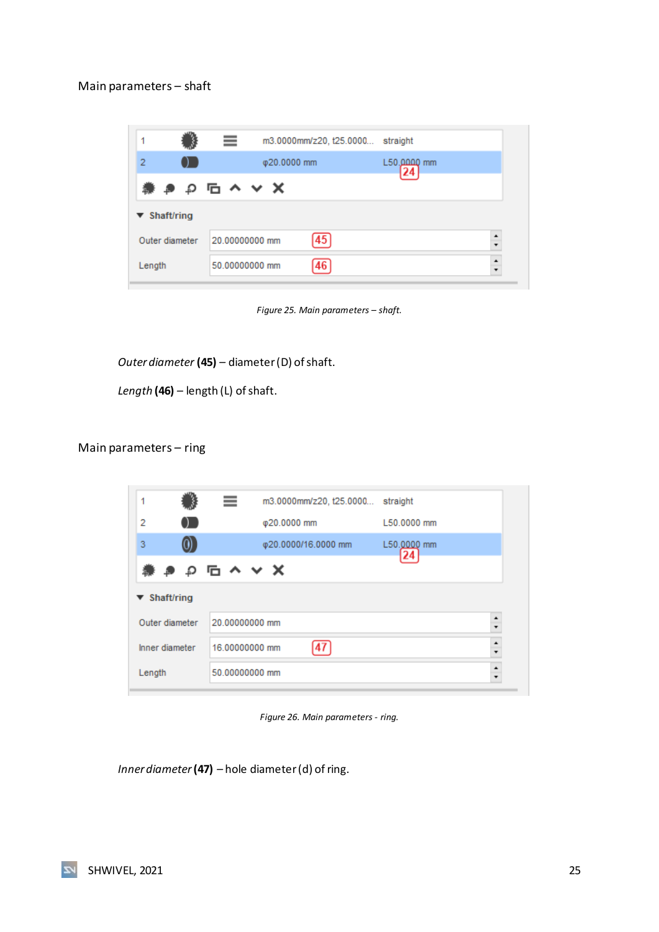#### <span id="page-25-0"></span>Main parameters – shaft

|                                 | ≡              |             | m3.0000mm/z20, t25.0000 | straight      |                |
|---------------------------------|----------------|-------------|-------------------------|---------------|----------------|
| 2                               |                | Φ20.0000 mm |                         | $L50.0000$ mm |                |
|                                 | 業 き り �� ヘ ∨ X |             |                         |               |                |
| $\blacktriangledown$ Shaft/ring |                |             |                         |               |                |
| Outer diameter                  | 20.00000000 mm |             | 45                      |               | ٠<br>÷         |
| Length                          | 50.00000000 mm |             | 46                      |               | $\ddot{\cdot}$ |

*Figure 25. Main parameters – shaft.*

<span id="page-25-2"></span>*Outer diameter* **(45)** *–* diameter (D) of shaft.

*Length* **(46)** *–* length (L) of shaft.

#### <span id="page-25-1"></span>Main parameters – ring

| 1                               | ≡              | m3.0000mm/z20, t25.0000 straight |                   |                  |
|---------------------------------|----------------|----------------------------------|-------------------|------------------|
| 2                               |                | Φ20.0000 mm                      | L50.0000 mm       |                  |
| $_{0}$<br>3                     |                | φ20.0000/16.0000 mm              | L50.0000 mm<br>24 |                  |
| <b>兼 き p 石 へ ∨ X</b>            |                |                                  |                   |                  |
|                                 |                |                                  |                   |                  |
| $\blacktriangledown$ Shaft/ring |                |                                  |                   |                  |
| Outer diameter                  | 20.00000000 mm |                                  |                   | $\frac{1}{\tau}$ |
| Inner diameter                  | 16.00000000 mm |                                  |                   | $\ddot{\cdot}$   |

*Figure 26. Main parameters - ring.*

<span id="page-25-3"></span>*Inner diameter***(47)** *–* hole diameter (d) of ring.

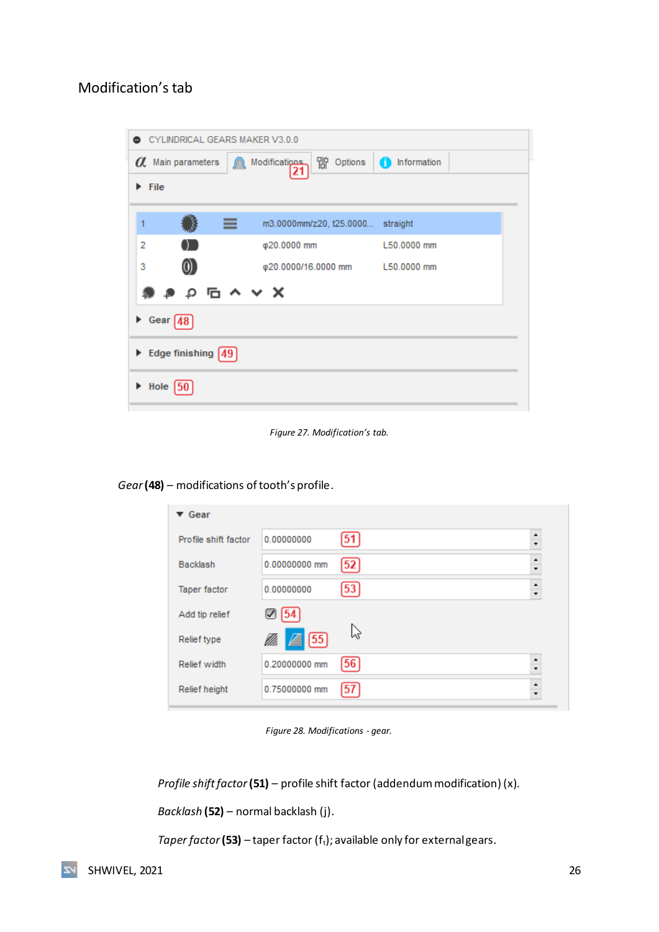## <span id="page-26-0"></span>Modification's tab

| CYLINDRICAL GEARS MAKER V3.0.0<br>0     |                                  |             |
|-----------------------------------------|----------------------------------|-------------|
| O Main parameters<br>⋒                  | ) Options<br>Modifications       | nformation  |
| $\blacktriangleright$ File              |                                  |             |
|                                         |                                  |             |
| ≡<br>1                                  | m3.0000mm/z20, t25.0000 straight |             |
| 2<br><b>.</b>                           | φ20.0000 mm                      | L50,0000 mm |
| 3                                       | φ20.0000/16.0000 mm L50.0000 mm  |             |
| <b>↓● p m へ ∨ ×</b><br>獳                |                                  |             |
| Gear $48$                               |                                  |             |
| Edge finishing $[49]$                   |                                  |             |
| $\blacktriangleright$ Hole $\boxed{50}$ |                                  |             |

*Figure 27. Modification's tab.*

<span id="page-26-1"></span>*Gear***(48)** – modifications of tooth's profile.

| $\blacktriangledown$ Gear |                    |    |        |
|---------------------------|--------------------|----|--------|
| Profile shift factor      | 0.00000000         | 51 | ٠<br>÷ |
| Backlash                  | 0.00000000 mm      | 52 | ٠<br>÷ |
| Taper factor              | 0.00000000         | 53 | ٠      |
| Add tip relief            | ⊻                  |    |        |
| Relief type               | $\sqrt{55}$<br>VM, | b3 |        |
| Relief width              | 0.20000000 mm      | 56 | ٠<br>۰ |
| Relief height             | 0.75000000 mm      | 57 | ۰      |

*Figure 28. Modifications - gear.*

<span id="page-26-2"></span>*Profile shift factor***(51)** *–* profile shift factor (addendum modification) (x).

*Backlash* **(52)** – normal backlash (j).

*Taper factor* (53) – taper factor (f<sub>t</sub>); available only for external gears.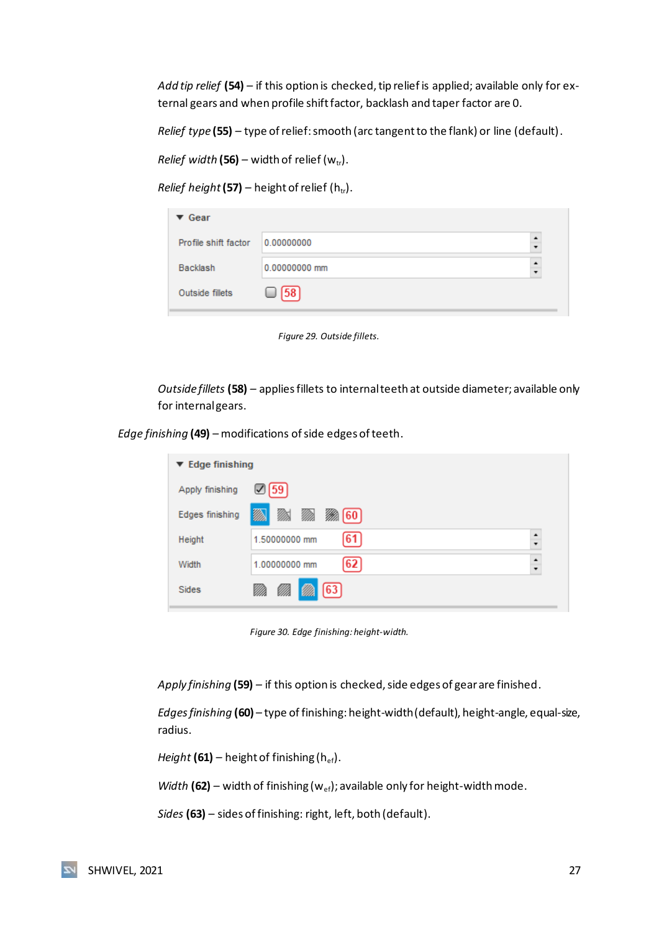*Add tip relief* **(54)** *–* if this option is checked, tip relief is applied; available only for external gears and when profile shift factor, backlash and taper factor are 0.

*Relief type* **(55)** *–* type of relief: smooth (arc tangent to the flank) or line (default).

*Relief width* (56) – width of relief ( $w_{tr}$ ).

*Relief height* (57) – height of relief ( $h_{tr}$ ).

| $\blacktriangledown$ Gear |               |           |
|---------------------------|---------------|-----------|
| Profile shift factor      | 0.00000000    | $\bullet$ |
| Backlash                  | 0.00000000 mm | $\bullet$ |
| Outside fillets           | [58]          |           |
|                           |               |           |

*Figure 29. Outside fillets.*

<span id="page-27-0"></span>*Outside fillets* **(58)** *–* appliesfillets to internal teeth at outside diameter; available only for internal gears.

*Edge finishing* **(49)** – modifications of side edges of teeth.

| $\blacktriangledown$ Edge finishing |                           |              |
|-------------------------------------|---------------------------|--------------|
| Apply finishing                     | $\mathbb{Z}$ 59           |              |
| Edges finishing                     | Ø)<br>M<br>M)<br>▒ 60     |              |
| Height                              | [61<br>1.50000000 mm      | ٠<br>$\cdot$ |
| Width                               | 62<br>1.00000000 mm       | ٠<br>۰       |
| <b>Sides</b>                        | $\left[ 63\right]$<br>VM. |              |

*Figure 30. Edge finishing: height-width.*

<span id="page-27-1"></span>*Apply finishing* **(59)** *–* if this option is checked, side edges of gear are finished.

*Edges finishing* **(60)** *–* type of finishing: height-width (default), height-angle, equal-size, radius.

*Height* (61) – height of finishing (h<sub>ef</sub>).

*Width* (62) – width of finishing ( $w_{ef}$ ); available only for height-width mode.

*Sides* **(63)** – sides of finishing: right, left, both (default).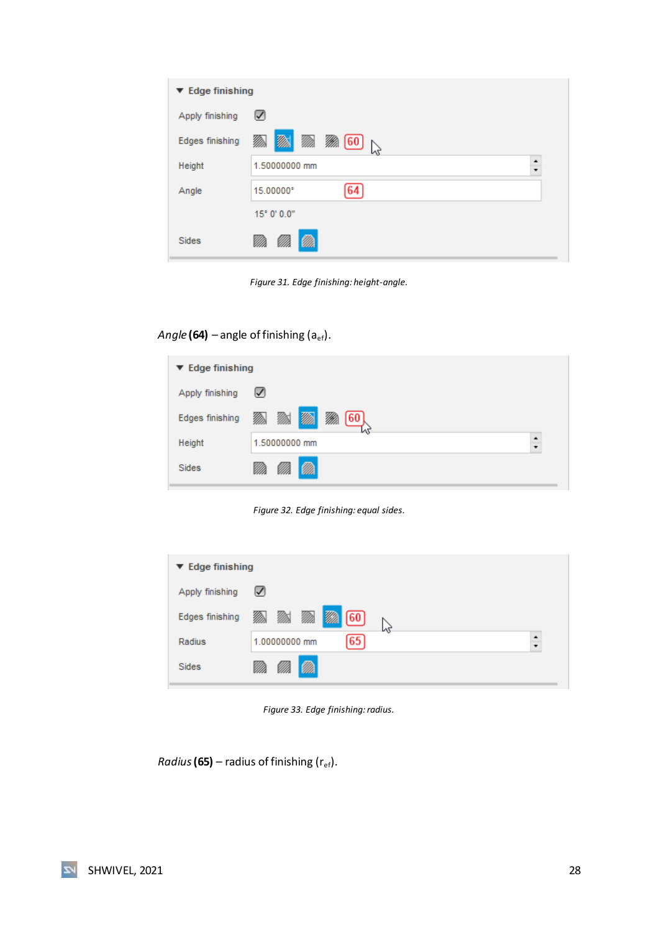| ▼ Edge finishing |                                   |
|------------------|-----------------------------------|
| Apply finishing  | ☑                                 |
| Edges finishing  | <b>MA</b><br>▒ 60<br>M)<br>⋙<br>ど |
| Height           | ٠<br>1.50000000 mm<br>۰<br>۰      |
| Angle            | 15.00000°                         |
|                  | 15° 0' 0.0"                       |
| <b>Sides</b>     |                                   |

*Figure 31. Edge finishing: height-angle.*

## <span id="page-28-0"></span>*Angle* (64) – angle of finishing  $(a_{ef})$ .

| $\blacktriangledown$ Edge finishing |                                      |  |
|-------------------------------------|--------------------------------------|--|
| Apply finishing                     | ☑                                    |  |
| Edges finishing                     | <b>m</b><br>⋙<br>M<br>M)<br>60<br>LЛ |  |
| Height                              | 1.50000000 mm                        |  |
| <b>Sides</b>                        | VM.<br>w.                            |  |

*Figure 32. Edge finishing: equal sides.*

<span id="page-28-1"></span>

| $\blacktriangledown$ Edge finishing |                                         |        |
|-------------------------------------|-----------------------------------------|--------|
| Apply finishing                     | $\sqrt{ }$                              |        |
| Edges finishing                     | Ø)<br><b>MA</b><br>M)<br>⋙<br>[60]<br>M |        |
| Radius                              | 65<br>1.00000000 mm                     | ٠<br>÷ |
| <b>Sides</b>                        | Ø.<br>VM.                               |        |

*Figure 33. Edge finishing: radius.*

<span id="page-28-2"></span>*Radius* (65) – radius of finishing ( $r_{ef}$ ).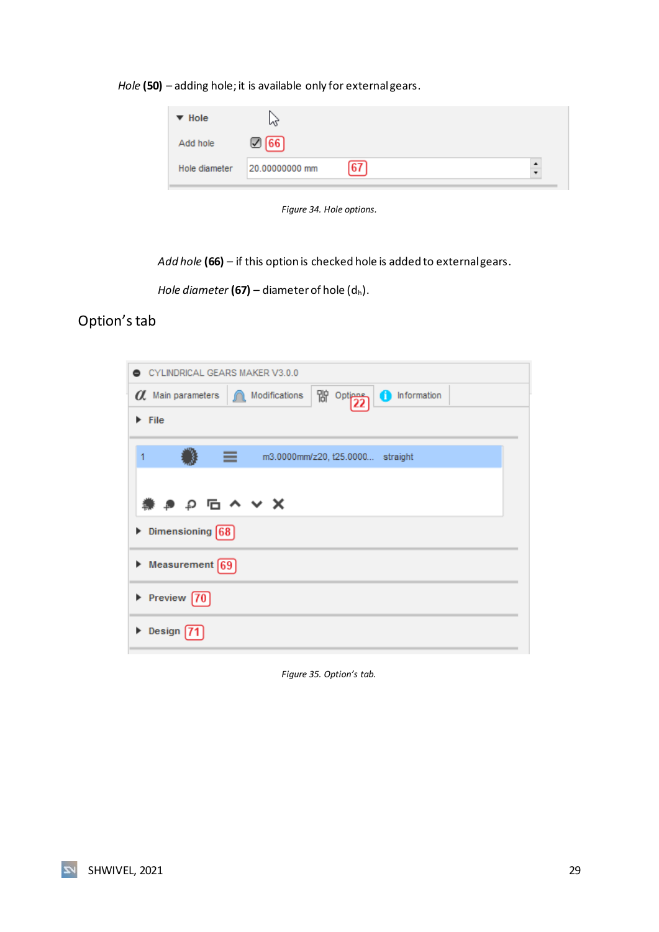*Hole* **(50)** – adding hole; it is available only for external gears.

| $\blacktriangledown$ Hole | иг             |    |  |
|---------------------------|----------------|----|--|
| Add hole                  | <b>66</b>      |    |  |
| Hole diameter             | 20.00000000 mm | 67 |  |

*Figure 34. Hole options.*

<span id="page-29-1"></span>*Add hole* **(66)** *–* if this option is checked hole is added to external gears.

*Hole diameter* (67) – diameter of hole  $(d_h)$ .

### <span id="page-29-0"></span>Option's tab

|   | CYLINDRICAL GEARS MAKER V3.0.0                                            |
|---|---------------------------------------------------------------------------|
|   | 隙 <sup>Optiens</sup><br>Modifications<br>nformation<br>a. Main parameters |
|   | $\blacktriangleright$ File                                                |
| 1 | ≡<br>m3.0000mm/z20, t25.0000 straight                                     |
|   | 業 き p �� ヘ ∨ Ⅹ                                                            |
|   | $\triangleright$ Dimensioning 68                                          |
|   | $\triangleright$ Measurement $\boxed{69}$                                 |
|   | $\triangleright$ Preview $\boxed{70}$                                     |
|   | $\triangleright$ Design $\sqrt{7}$                                        |
|   |                                                                           |

<span id="page-29-2"></span>*Figure 35. Option's tab.*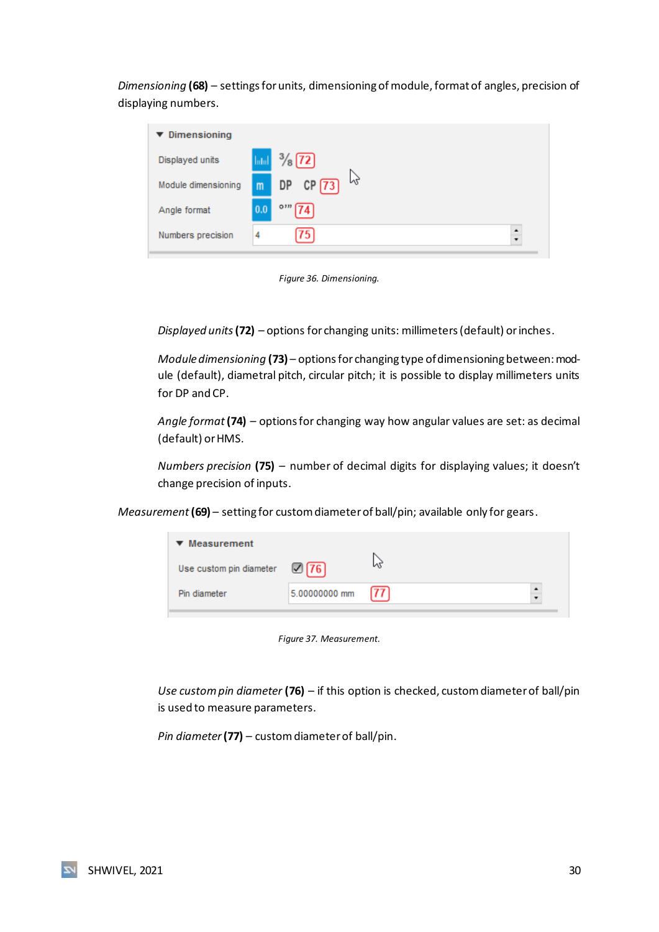*Dimensioning* **(68)** *–* settings for units, dimensioning of module, format of angles, precision of displaying numbers.

| $\blacktriangledown$ Dimensioning |                   |                               |
|-----------------------------------|-------------------|-------------------------------|
| Displayed units                   | hdul              | $\frac{3}{8}$ (72)            |
| Module dimensioning               | m                 | p2<br>$CP$ $\boxed{73}$<br>DP |
| Angle format                      | $\vert 0.0 \vert$ | O 332<br>$\overline{174}$     |
| Numbers precision                 | 4                 | ٠<br>75<br>Ų                  |

*Figure 36. Dimensioning.*

<span id="page-30-0"></span>*Displayed units***(72)** – options for changing units: millimeters (default) or inches.

*Module dimensioning* **(73)** – options for changing type of dimensioning between: module (default), diametral pitch, circular pitch; it is possible to display millimeters units for DP and CP.

*Angle format* **(74)** – options for changing way how angular values are set: as decimal (default) or HMS.

*Numbers precision* (75) – number of decimal digits for displaying values; it doesn't change precision of inputs.

*Measurement***(69)** – setting for custom diameter of ball/pin; available only for gears.

| $\blacktriangledown$ Measurement |                  |       |  |
|----------------------------------|------------------|-------|--|
| Use custom pin diameter          | $\mathbb{Z}[76]$ |       |  |
| Pin diameter                     | 5.00000000 mm    | 177 I |  |

*Figure 37. Measurement.*

<span id="page-30-1"></span>*Use custom pin diameter* **(76)** – if this option is checked, custom diameter of ball/pin is used to measure parameters.

*Pin diameter* **(77)** – custom diameter of ball/pin.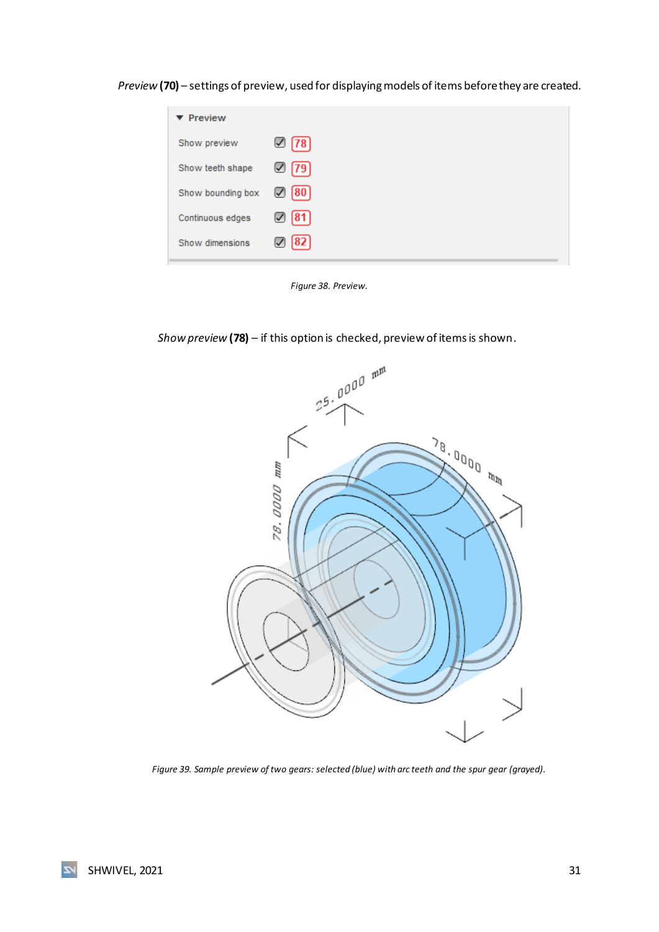*Preview* **(70)** – settings of preview, used for displaying models of items before they are created.

| ▼ Preview         |                  |
|-------------------|------------------|
| Show preview      | $\boxtimes$ [78] |
| Show teeth shape  | $\boxtimes$ [79] |
| Show bounding box | $\oslash$ [80]   |
| Continuous edges  | 7  81            |
| Show dimensions   | 82 <br>✓         |



<span id="page-31-0"></span>*Show preview* **(78)** – if this option is checked, preview of items is shown.



<span id="page-31-1"></span>*Figure 39. Sample preview of two gears: selected (blue) with arc teeth and the spur gear (grayed).*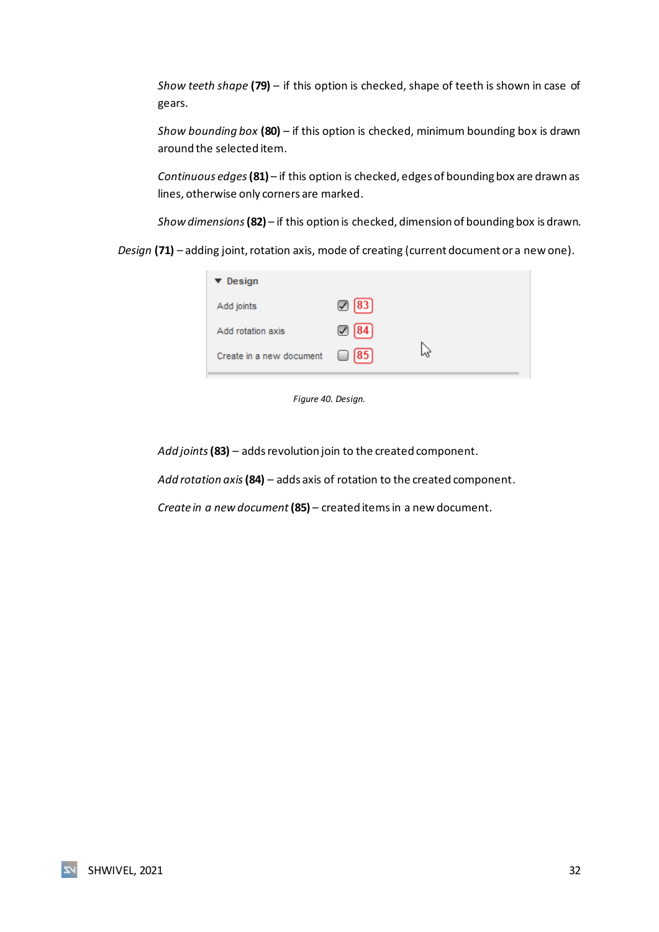*Show teeth shape* **(79)** – if this option is checked, shape of teeth is shown in case of gears.

*Show bounding box* **(80)** – if this option is checked, minimum bounding box is drawn around the selected item.

*Continuous edges* **(81)** – if this option is checked, edges of bounding box are drawn as lines, otherwise only corners are marked.

*Show dimensions***(82)** – if this option is checked, dimension of bounding box is drawn.

*Design* **(71)** – adding joint, rotation axis, mode of creating (current document or a new one).

| $\blacktriangledown$ Design |                   |   |
|-----------------------------|-------------------|---|
| Add joints                  | $\mathbb{Z}$ [83] |   |
| Add rotation axis           | $\mathbb{Z}$ [84] |   |
| Create in a new document    | $\sqrt{85}$<br>□  | ぺ |
|                             |                   |   |

*Figure 40. Design.*

<span id="page-32-0"></span>*Add joints* **(83)** – adds revolution join to the created component.

*Add rotation axis* **(84)** – adds axis of rotation to the created component.

*Create in a new document* **(85)** – created items in a new document.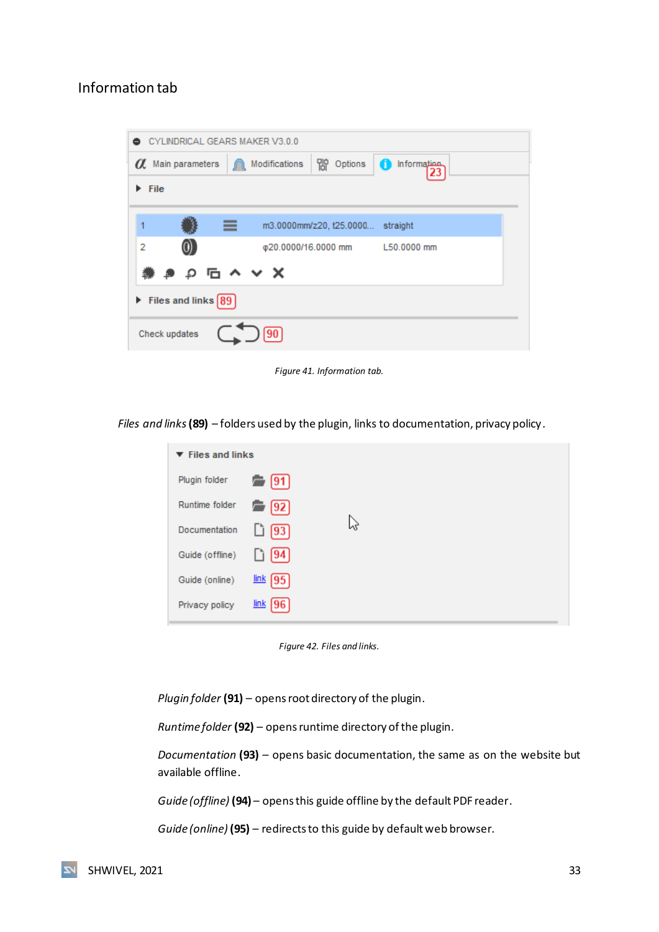#### <span id="page-33-0"></span>Information tab

| 8    |                          | CYLINDRICAL GEARS MAKER V3.0.0                    |
|------|--------------------------|---------------------------------------------------|
|      | $\alpha$ Main parameters | 朌<br>Modifications<br>Options<br>Information<br>◆ |
| File |                          |                                                   |
|      |                          |                                                   |
|      |                          | m3.0000mm/z20, t25.0000 straight<br>≡             |
| 2    |                          | φ20.0000/16.0000 mm L50.0000 mm                   |
|      |                          | $P$ $P$ $C$ $\sim$ $X$                            |
|      | Files and links $89$     |                                                   |
|      | Check updates            |                                                   |

*Figure 41. Information tab.*

<span id="page-33-1"></span>*Files and links* **(89)** – folders used by the plugin, links to documentation, privacy policy.

| $\blacktriangledown$ Files and links |             |   |  |
|--------------------------------------|-------------|---|--|
| Plugin folder                        | [91]        |   |  |
| Runtime folder                       | [92]        |   |  |
| Documentation                        | $[93]$      | ↳ |  |
| Guide (offline)                      | [94]        |   |  |
| Guide (online)                       | link [95]   |   |  |
| Privacy policy                       | $link$   96 |   |  |

*Figure 42. Files and links.*

<span id="page-33-2"></span>*Plugin folder* **(91)** – opens root directory of the plugin.

*Runtime folder* **(92)** – opens runtime directory of the plugin.

*Documentation* **(93)** – opens basic documentation, the same as on the website but available offline.

*Guide (offline)* **(94)** – opens this guide offline by the default PDF reader.

*Guide (online)* **(95)** – redirects to this guide by default web browser.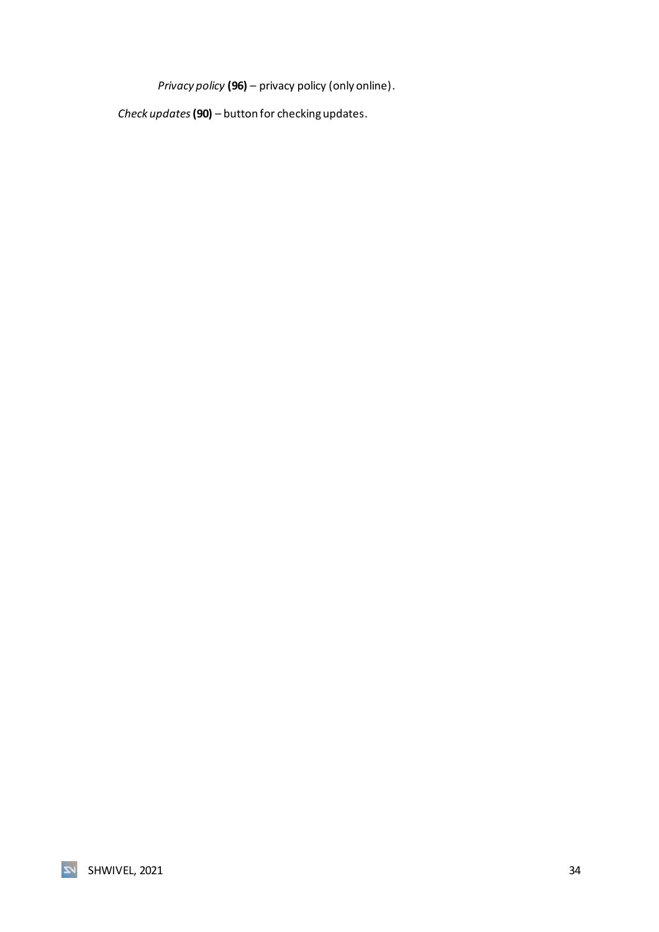*Privacy policy* **(96)** – privacy policy (only online).

*Check updates* **(90)** – button for checking updates.

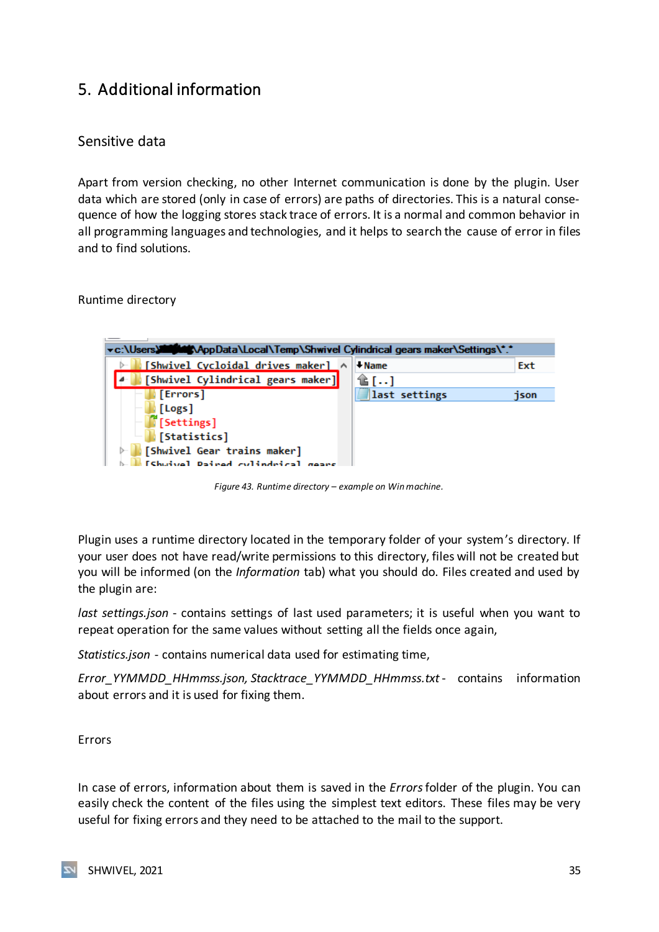# <span id="page-35-0"></span>5. Additional information

### <span id="page-35-1"></span>Sensitive data

Apart from version checking, no other Internet communication is done by the plugin. User data which are stored (only in case of errors) are paths of directories. This is a natural consequence of how the logging stores stack trace of errors. It is a normal and common behavior in all programming languages and technologies, and it helps to search the cause of error in files and to find solutions.

<span id="page-35-2"></span>Runtime directory



*Figure 43. Runtime directory – example on Win machine.*

<span id="page-35-4"></span>Plugin uses a runtime directory located in the temporary folder of your system's directory. If your user does not have read/write permissions to this directory, files will not be created but you will be informed (on the *Information* tab) what you should do. Files created and used by the plugin are:

*last settings.json* - contains settings of last used parameters; it is useful when you want to repeat operation for the same values without setting all the fields once again,

*Statistics.json* - contains numerical data used for estimating time,

*Error\_YYMMDD\_HHmmss.json, Stacktrace\_YYMMDD\_HHmmss.txt* - contains information about errors and it is used for fixing them.

<span id="page-35-3"></span>Errors

In case of errors, information about them is saved in the *Errors*folder of the plugin. You can easily check the content of the files using the simplest text editors. These files may be very useful for fixing errors and they need to be attached to the mail to the support.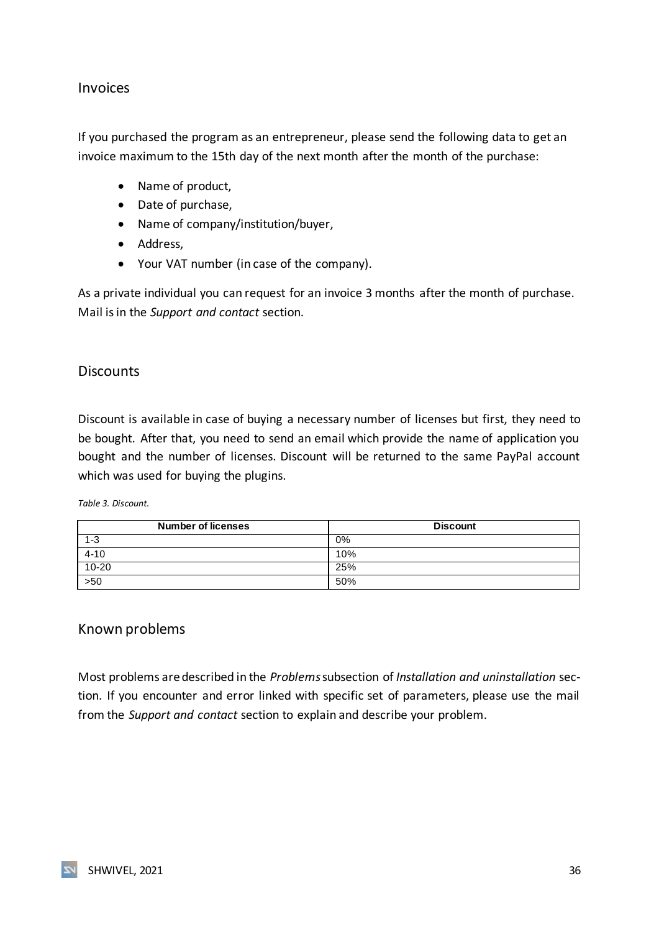#### <span id="page-36-0"></span>Invoices

If you purchased the program as an entrepreneur, please send the following data to get an invoice maximum to the 15th day of the next month after the month of the purchase:

- Name of product,
- Date of purchase,
- Name of company/institution/buyer,
- Address,
- Your VAT number (in case of the company).

As a private individual you can request for an invoice 3 months after the month of purchase. Mail is in the *Support and contact* section.

#### <span id="page-36-1"></span>**Discounts**

Discount is available in case of buying a necessary number of licenses but first, they need to be bought. After that, you need to send an email which provide the name of application you bought and the number of licenses. Discount will be returned to the same PayPal account which was used for buying the plugins.

<span id="page-36-3"></span>*Table 3. Discount.*

| <b>Number of licenses</b> | <b>Discount</b> |
|---------------------------|-----------------|
| $1 - 3$                   | 0%              |
| $4 - 10$                  | 10%             |
| $10 - 20$                 | 25%             |
| 550                       | 50%             |

#### <span id="page-36-2"></span>Known problems

Most problems are described in the *Problems*subsection of *Installation and uninstallation* section. If you encounter and error linked with specific set of parameters, please use the mail from the *Support and contact* section to explain and describe your problem.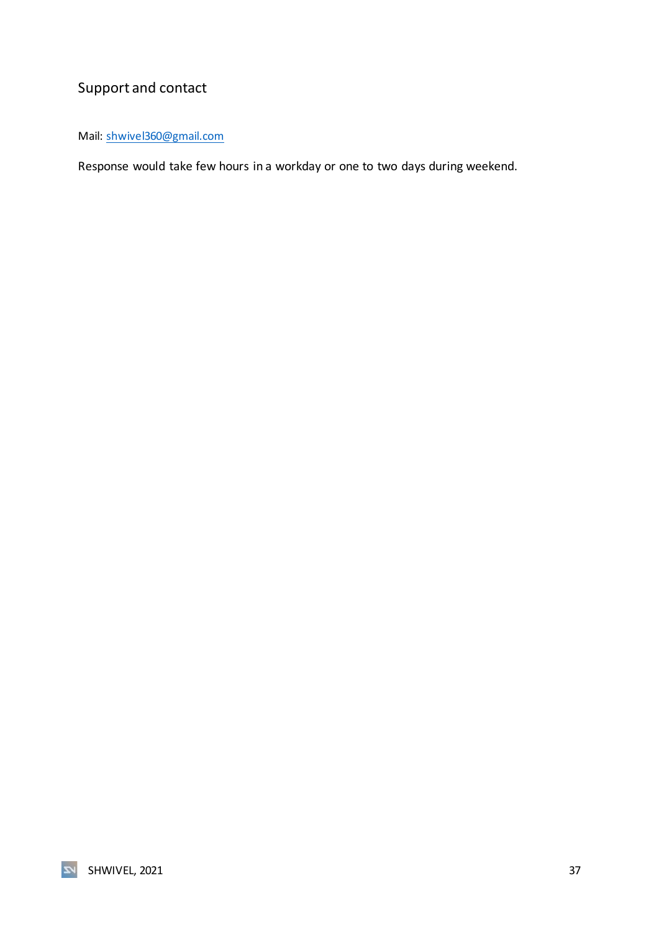# <span id="page-37-0"></span>Support and contact

Mail: [shwivel360@gmail.com](mailto:shwivel360@gmail.com)

Response would take few hours in a workday or one to two days during weekend.

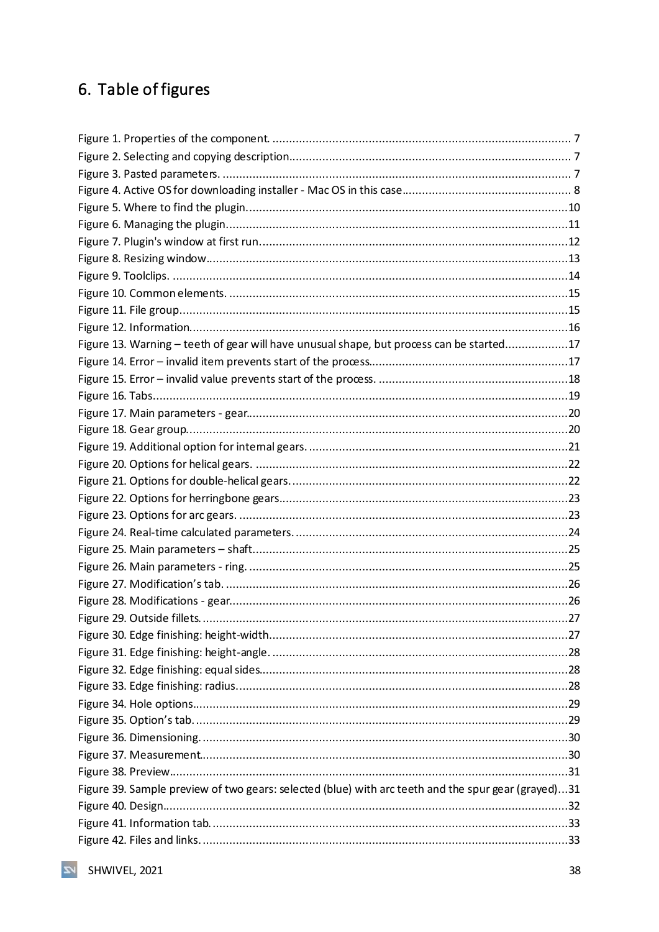# <span id="page-38-0"></span>6. Table of figures

| Figure 13. Warning - teeth of gear will have unusual shape, but process can be started17            |  |
|-----------------------------------------------------------------------------------------------------|--|
|                                                                                                     |  |
|                                                                                                     |  |
|                                                                                                     |  |
|                                                                                                     |  |
|                                                                                                     |  |
|                                                                                                     |  |
|                                                                                                     |  |
|                                                                                                     |  |
|                                                                                                     |  |
|                                                                                                     |  |
|                                                                                                     |  |
|                                                                                                     |  |
|                                                                                                     |  |
|                                                                                                     |  |
|                                                                                                     |  |
|                                                                                                     |  |
|                                                                                                     |  |
|                                                                                                     |  |
|                                                                                                     |  |
|                                                                                                     |  |
|                                                                                                     |  |
|                                                                                                     |  |
|                                                                                                     |  |
|                                                                                                     |  |
|                                                                                                     |  |
| Figure 39. Sample preview of two gears: selected (blue) with arc teeth and the spur gear (grayed)31 |  |
|                                                                                                     |  |
|                                                                                                     |  |
|                                                                                                     |  |